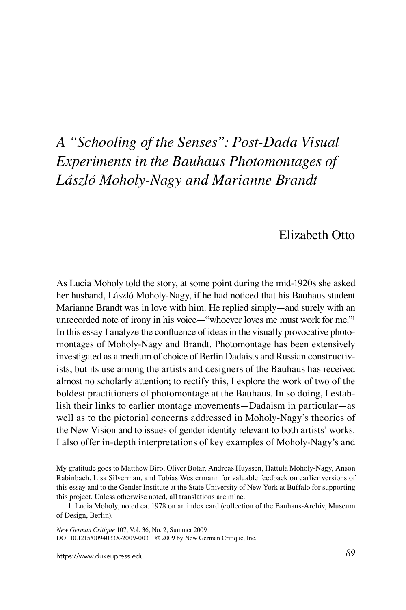## *A "Schooling of the Senses": Post-Dada Visual Experiments in the Bauhaus Photomontages of László Moholy-Nagy and Marianne Brandt*

## Elizabeth Otto

As Lucia Moholy told the story, at some point during the mid-1920s she asked her husband, László Moholy-Nagy, if he had noticed that his Bauhaus student Marianne Brandt was in love with him. He replied simply—and surely with an unrecorded note of irony in his voice—"whoever loves me must work for me."1 In this essay I analyze the confluence of ideas in the visually provocative photomontages of Moholy-Nagy and Brandt. Photomontage has been extensively investigated as a medium of choice of Berlin Dadaists and Russian constructivists, but its use among the artists and designers of the Bauhaus has received almost no scholarly attention; to rectify this, I explore the work of two of the boldest practitioners of photomontage at the Bauhaus. In so doing, I establish their links to earlier montage movements—Dadaism in particular—as well as to the pictorial concerns addressed in Moholy-Nagy's theories of the New Vision and to issues of gender identity relevant to both artists' works. I also offer in-depth interpretations of key examples of Moholy-Nagy's and

My gratitude goes to Matthew Biro, Oliver Botar, Andreas Huyssen, Hattula Moholy-Nagy, Anson Rabinbach, Lisa Silverman, and Tobias Westermann for valuable feedback on earlier versions of this essay and to the Gender Institute at the State University of New York at Buffalo for supporting this project. Unless otherwise noted, all translations are mine.

1. Lucia Moholy, noted ca. 1978 on an index card (collection of the Bauhaus-Archiv, Museum of Design, Berlin).

*New German Critique* 107, Vol. 36, No. 2, Summer 2009 DOI 10.1215/0094033X-2009-003 © 2009 by New German Critique, Inc.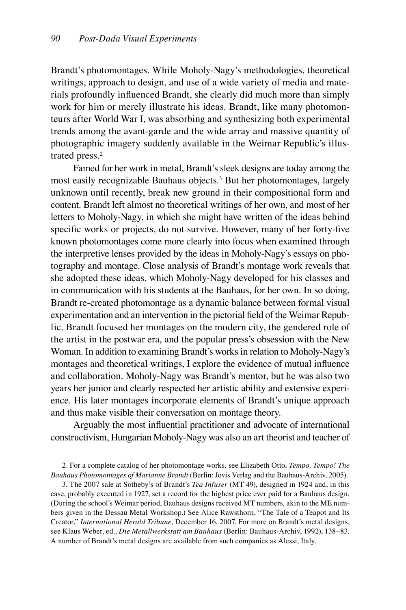Brandt's photomontages. While Moholy-Nagy's methodologies, theoretical writings, approach to design, and use of a wide variety of media and materials profoundly influenced Brandt, she clearly did much more than simply work for him or merely illustrate his ideas. Brandt, like many photomonteurs after World War I, was absorbing and synthesizing both experimental trends among the avant-garde and the wide array and massive quantity of photographic imagery suddenly available in the Weimar Republic's illustrated press.2

Famed for her work in metal, Brandt's sleek designs are today among the most easily recognizable Bauhaus objects.3 But her photomontages, largely unknown until recently, break new ground in their compositional form and content. Brandt left almost no theoretical writings of her own, and most of her letters to Moholy-Nagy, in which she might have written of the ideas behind specific works or projects, do not survive. However, many of her forty-five known photomontages come more clearly into focus when examined through the interpretive lenses provided by the ideas in Moholy-Nagy's essays on photography and montage. Close analysis of Brandt's montage work reveals that she adopted these ideas, which Moholy-Nagy developed for his classes and in communication with his students at the Bauhaus, for her own. In so doing, Brandt re-created photomontage as a dynamic balance between formal visual experimentation and an intervention in the pictorial field of the Weimar Republic. Brandt focused her montages on the modern city, the gendered role of the artist in the postwar era, and the popular press's obsession with the New Woman. In addition to examining Brandt's works in relation to Moholy-Nagy's montages and theoretical writings, I explore the evidence of mutual influence and collaboration. Moholy-Nagy was Brandt's mentor, but he was also two years her junior and clearly respected her artistic ability and extensive experience. His later montages incorporate elements of Brandt's unique approach and thus make visible their conversation on montage theory.

Arguably the most influential practitioner and advocate of international constructivism, Hungarian Moholy-Nagy was also an art theorist and teacher of

2. For a complete catalog of her photomontage works, see Elizabeth Otto, *Tempo, Tempo! The Bauhaus Photomontages of Marianne Brandt* (Berlin: Jovis Verlag and the Bauhaus-Archiv, 2005).

3. The 2007 sale at Sotheby's of Brandt's *Tea Infuser* (MT 49), designed in 1924 and, in this case, probably executed in 1927, set a record for the highest price ever paid for a Bauhaus design. (During the school's Weimar period, Bauhaus designs received MT numbers, akin to the ME numbers given in the Dessau Metal Workshop.) See Alice Rawsthorn, "The Tale of a Teapot and Its Creator," *International Herald Tribune*, December 16, 2007. For more on Brandt's metal designs, see Klaus Weber, ed., *Die Metallwerkstatt am Bauhaus* (Berlin: Bauhaus-Archiv, 1992), 138–83. A number of Brandt's metal designs are available from such companies as Alessi, Italy.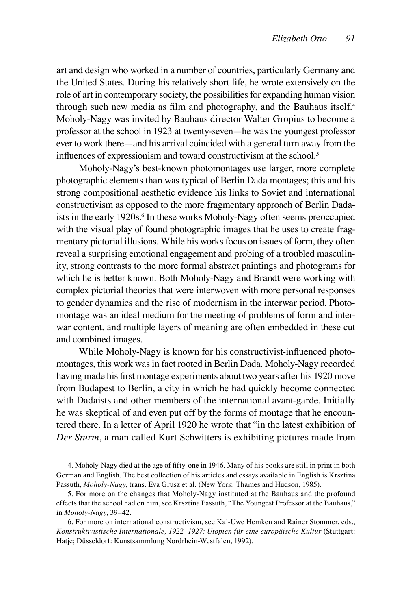art and design who worked in a number of countries, particularly Germany and the United States. During his relatively short life, he wrote extensively on the role of art in contemporary society, the possibilities for expanding human vision through such new media as film and photography, and the Bauhaus itself. $4$ Moholy-Nagy was invited by Bauhaus director Walter Gropius to become a professor at the school in 1923 at twenty-seven—he was the youngest professor ever to work there—and his arrival coincided with a general turn away from the influences of expressionism and toward constructivism at the school.<sup>5</sup>

Moholy-Nagy's best-known photomontages use larger, more complete photographic elements than was typical of Berlin Dada montages; this and his strong compositional aesthetic evidence his links to Soviet and international constructivism as opposed to the more fragmentary approach of Berlin Dadaists in the early 1920s.<sup>6</sup> In these works Moholy-Nagy often seems preoccupied with the visual play of found photographic images that he uses to create fragmentary pictorial illusions. While his works focus on issues of form, they often reveal a surprising emotional engagement and probing of a troubled masculinity, strong contrasts to the more formal abstract paintings and photograms for which he is better known. Both Moholy-Nagy and Brandt were working with complex pictorial theories that were interwoven with more personal responses to gender dynamics and the rise of modernism in the interwar period. Photomontage was an ideal medium for the meeting of problems of form and interwar content, and multiple layers of meaning are often embedded in these cut and combined images.

While Moholy-Nagy is known for his constructivist-influenced photomontages, this work was in fact rooted in Berlin Dada. Moholy-Nagy recorded having made his first montage experiments about two years after his 1920 move from Budapest to Berlin, a city in which he had quickly become connected with Dadaists and other members of the international avant-garde. Initially he was skeptical of and even put off by the forms of montage that he encountered there. In a letter of April 1920 he wrote that "in the latest exhibition of *Der Sturm*, a man called Kurt Schwitters is exhibiting pictures made from

4. Moholy-Nagy died at the age of fifty-one in 1946. Many of his books are still in print in both German and English. The best collection of his articles and essays available in English is Krsztina Passuth, *Moholy-Nagy*, trans. Eva Grusz et al. (New York: Thames and Hudson, 1985).

5. For more on the changes that Moholy-Nagy instituted at the Bauhaus and the profound effects that the school had on him, see Krsztina Passuth, "The Youngest Professor at the Bauhaus," in *Moholy-Nagy*, 39–42.

6. For more on international constructivism, see Kai-Uwe Hemken and Rainer Stommer, eds., *Konstruktivistische Internationale, 1922–1927: Utopien für eine europäische Kultur* (Stuttgart: Hatje; Düsseldorf: Kunstsammlung Nordrhein-Westfalen, 1992).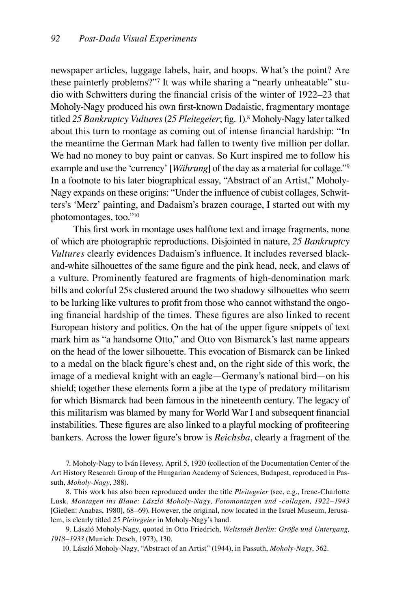newspaper articles, luggage labels, hair, and hoops. What's the point? Are these painterly problems?"7 It was while sharing a "nearly unheatable" studio with Schwitters during the financial crisis of the winter of 1922–23 that Moholy-Nagy produced his own first-known Dadaistic, fragmentary montage titled 25 Bankruptcy Vultures (25 Pleitegeier; fig. 1).<sup>8</sup> Moholy-Nagy later talked about this turn to montage as coming out of intense financial hardship: "In the meantime the German Mark had fallen to twenty five million per dollar. We had no money to buy paint or canvas. So Kurt inspired me to follow his example and use the 'currency' [*Währung*] of the day as a material for collage."9 In a footnote to his later biographical essay, "Abstract of an Artist," Moholy-Nagy expands on these origins: "Under the influence of cubist collages, Schwitters's 'Merz' painting, and Dadaism's brazen courage, I started out with my photomontages, too."10

This first work in montage uses halftone text and image fragments, none of which are photographic reproductions. Disjointed in nature, *25 Bankruptcy Vultures* clearly evidences Dadaism's influence. It includes reversed blackand-white silhouettes of the same figure and the pink head, neck, and claws of a vulture. Prominently featured are fragments of high-denomination mark bills and colorful 25s clustered around the two shadowy silhouettes who seem to be lurking like vultures to profit from those who cannot withstand the ongoing financial hardship of the times. These figures are also linked to recent European history and politics. On the hat of the upper figure snippets of text mark him as "a handsome Otto," and Otto von Bismarck's last name appears on the head of the lower silhouette. This evocation of Bismarck can be linked to a medal on the black figure's chest and, on the right side of this work, the image of a medieval knight with an eagle—Germany's national bird—on his shield; together these elements form a jibe at the type of predatory militarism for which Bismarck had been famous in the nineteenth century. The legacy of this militarism was blamed by many for World War I and subsequent financial instabilities. These figures are also linked to a playful mocking of profiteering bankers. Across the lower figure's brow is *Reichsba*, clearly a fragment of the

 7. Moholy-Nagy to Iván Hevesy, April 5, 1920 (collection of the Documentation Center of the Art History Research Group of the Hungarian Academy of Sciences, Budapest, reproduced in Passuth, *Moholy-Nagy*, 388).

 8. This work has also been reproduced under the title *Pleitegeier* (see, e.g., Irene-Charlotte Lusk, *Montagen ins Blaue: László Moholy-Nagy, Fotomontagen und -collagen, 1922–1943* [Gießen: Anabas, 1980], 68–69). However, the original, now located in the Israel Museum, Jerusalem, is clearly titled *25 Pleitegeier* in Moholy-Nagy's hand.

 9. László Moholy-Nagy, quoted in Otto Friedrich, *Weltstadt Berlin: Größe und Untergang, 1918–1933* (Munich: Desch, 1973), 130.

10. László Moholy-Nagy, "Abstract of an Artist" (1944), in Passuth, *Moholy-Nagy*, 362.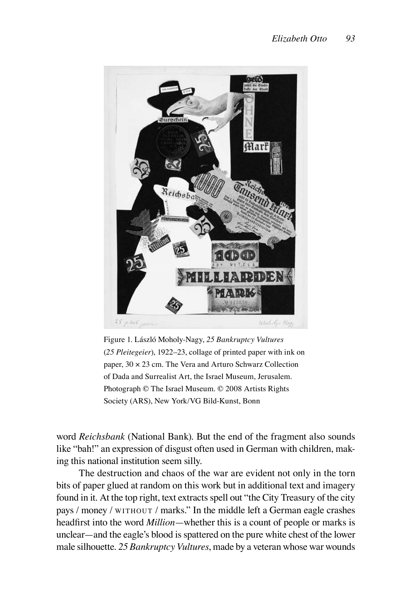

Figure 1. László Moholy-Nagy, *25 Bankruptcy Vultures* (*25 Pleitegeier*), 1922–23, collage of printed paper with ink on paper, 30 × 23 cm. The Vera and Arturo Schwarz Collection of Dada and Surrealist Art, the Israel Museum, Jerusalem. Photograph © The Israel Museum. © 2008 Artists Rights Society (ARS), New York/VG Bild-Kunst, Bonn

word *Reichsbank* (National Bank). But the end of the fragment also sounds like "bah!" an expression of disgust often used in German with children, making this national institution seem silly.

The destruction and chaos of the war are evident not only in the torn bits of paper glued at random on this work but in additional text and imagery found in it. At the top right, text extracts spell out "the City Treasury of the city pays / money / WITHOUT / marks." In the middle left a German eagle crashes headfirst into the word *Million*—whether this is a count of people or marks is unclear—and the eagle's blood is spattered on the pure white chest of the lower male silhouette. *25 Bankruptcy Vultures*, made by a veteran whose war wounds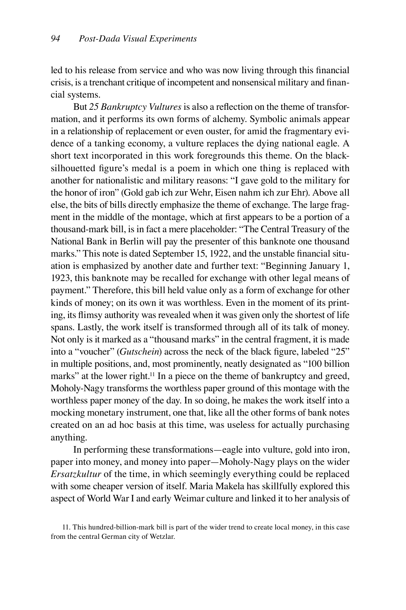led to his release from service and who was now living through this financial crisis, is a trenchant critique of incompetent and nonsensical military and financial systems.

But 25 Bankruptcy Vultures is also a reflection on the theme of transformation, and it performs its own forms of alchemy. Symbolic animals appear in a relationship of replacement or even ouster, for amid the fragmentary evidence of a tanking economy, a vulture replaces the dying national eagle. A short text incorporated in this work foregrounds this theme. On the blacksilhouetted figure's medal is a poem in which one thing is replaced with another for nationalistic and military reasons: "I gave gold to the military for the honor of iron" (Gold gab ich zur Wehr, Eisen nahm ich zur Ehr). Above all else, the bits of bills directly emphasize the theme of exchange. The large fragment in the middle of the montage, which at first appears to be a portion of a thousand-mark bill, is in fact a mere placeholder: "The Central Treasury of the National Bank in Berlin will pay the presenter of this banknote one thousand marks." This note is dated September 15, 1922, and the unstable financial situation is emphasized by another date and further text: "Beginning January 1, 1923, this banknote may be recalled for exchange with other legal means of payment." Therefore, this bill held value only as a form of exchange for other kinds of money; on its own it was worthless. Even in the moment of its printing, its flimsy authority was revealed when it was given only the shortest of life spans. Lastly, the work itself is transformed through all of its talk of money. Not only is it marked as a "thousand marks" in the central fragment, it is made into a "voucher" (*Gutschein*) across the neck of the black figure, labeled "25" in multiple positions, and, most prominently, neatly designated as "100 billion marks" at the lower right.<sup>11</sup> In a piece on the theme of bankruptcy and greed, Moholy-Nagy transforms the worthless paper ground of this montage with the worthless paper money of the day. In so doing, he makes the work itself into a mocking monetary instrument, one that, like all the other forms of bank notes created on an ad hoc basis at this time, was useless for actually purchasing anything.

In performing these transformations—eagle into vulture, gold into iron, paper into money, and money into paper—Moholy-Nagy plays on the wider *Ersatzkultur* of the time, in which seemingly everything could be replaced with some cheaper version of itself. Maria Makela has skillfully explored this aspect of World War I and early Weimar culture and linked it to her analysis of

11. This hundred-billion-mark bill is part of the wider trend to create local money, in this case from the central German city of Wetzlar.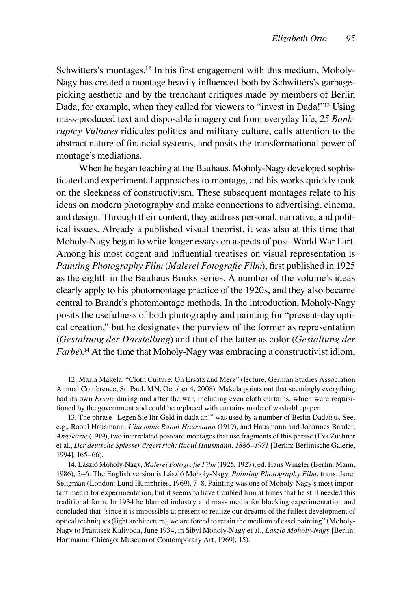Schwitters's montages.<sup>12</sup> In his first engagement with this medium, Moholy-Nagy has created a montage heavily influenced both by Schwitters's garbagepicking aesthetic and by the trenchant critiques made by members of Berlin Dada, for example, when they called for viewers to "invest in Dada!"<sup>13</sup> Using mass-produced text and disposable imagery cut from everyday life, *25 Bankruptcy Vultures* ridicules politics and military culture, calls attention to the abstract nature of financial systems, and posits the transformational power of montage's mediations.

When he began teaching at the Bauhaus, Moholy-Nagy developed sophisticated and experimental approaches to montage, and his works quickly took on the sleekness of constructivism. These subsequent montages relate to his ideas on modern photography and make connections to advertising, cinema, and design. Through their content, they address personal, narrative, and political issues. Already a published visual theorist, it was also at this time that Moholy-Nagy began to write longer essays on aspects of post–World War I art. Among his most cogent and influential treatises on visual representation is *Painting Photography Film* (*Malerei Fotografie Film*), first published in 1925 as the eighth in the Bauhaus Books series. A number of the volume's ideas clearly apply to his photomontage practice of the 1920s, and they also became central to Brandt's photomontage methods. In the introduction, Moholy-Nagy posits the usefulness of both photography and painting for "present-day optical creation," but he designates the purview of the former as representation (*Gestaltung der Darstellung*) and that of the latter as color (*Gestaltung der Farbe*).<sup>14</sup> At the time that Moholy-Nagy was embracing a constructivist idiom,

12. Maria Makela, "Cloth Culture: On Ersatz and Merz" (lecture, German Studies Association Annual Conference, St. Paul, MN, October 4, 2008). Makela points out that seemingly everything had its own *Ersatz* during and after the war, including even cloth curtains, which were requisitioned by the government and could be replaced with curtains made of washable paper.

13. The phrase "Legen Sie Ihr Geld in dada an!" was used by a number of Berlin Dadaists. See, e.g., Raoul Hausmann, *L'inconnu Raoul Hausmann* (1919), and Hausmann and Johannes Baader, *Angekarte* (1919), two interrelated postcard montages that use fragments of this phrase (Eva Züchner et al., *Der deutsche Spiesser ärgert sich: Raoul Hausmann, 1886–1971* [Berlin: Berlinische Galerie, 1994], 165–66).

14. László Moholy-Nagy, *Malerei Fotografie Film* (1925, 1927), ed. Hans Wingler (Berlin: Mann, 1986), 5–6. The English version is László Moholy-Nagy, *Painting Photography Film*, trans. Janet Seligman (London: Lund Humphries, 1969), 7–8. Painting was one of Moholy-Nagy's most important media for experimentation, but it seems to have troubled him at times that he still needed this traditional form. In 1934 he blamed industry and mass media for blocking experimentation and concluded that "since it is impossible at present to realize our dreams of the fullest development of optical techniques (light architecture), we are forced to retain the medium of easel painting" (Moholy-Nagy to Frantisek Kalivoda, June 1934, in Sibyl Moholy-Nagy et al., *Laszlo Moholy-Nagy* [Berlin: Hartmann; Chicago: Museum of Contemporary Art, 1969], 15).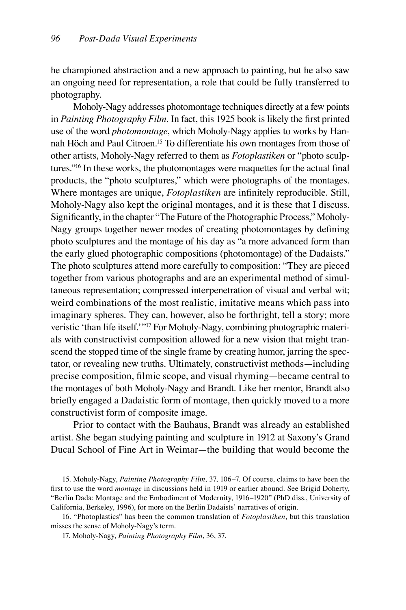he championed abstraction and a new approach to painting, but he also saw an ongoing need for representation, a role that could be fully transferred to photography.

Moholy-Nagy addresses photomontage techniques directly at a few points in *Painting Photography Film*. In fact, this 1925 book is likely the first printed use of the word *photomontage*, which Moholy-Nagy applies to works by Hannah Höch and Paul Citroen.15 To differentiate his own montages from those of other artists, Moholy-Nagy referred to them as *Fotoplastiken* or "photo sculptures."<sup>16</sup> In these works, the photomontages were maquettes for the actual final products, the "photo sculptures," which were photographs of the montages. Where montages are unique, *Fotoplastiken* are infinitely reproducible. Still, Moholy-Nagy also kept the original montages, and it is these that I discuss. Significantly, in the chapter "The Future of the Photographic Process," Moholy-Nagy groups together newer modes of creating photomontages by defining photo sculptures and the montage of his day as "a more advanced form than the early glued photographic compositions (photomontage) of the Dadaists." The photo sculptures attend more carefully to composition: "They are pieced together from various photographs and are an experimental method of simultaneous representation; compressed interpenetration of visual and verbal wit; weird combinations of the most realistic, imitative means which pass into imaginary spheres. They can, however, also be forthright, tell a story; more veristic 'than life itself.'"<sup>17</sup> For Moholy-Nagy, combining photographic materials with constructivist composition allowed for a new vision that might transcend the stopped time of the single frame by creating humor, jarring the spectator, or revealing new truths. Ultimately, constructivist methods—including precise composition, filmic scope, and visual rhyming—became central to the montages of both Moholy-Nagy and Brandt. Like her mentor, Brandt also briefly engaged a Dadaistic form of montage, then quickly moved to a more constructivist form of composite image.

Prior to contact with the Bauhaus, Brandt was already an established artist. She began studying painting and sculpture in 1912 at Saxony's Grand Ducal School of Fine Art in Weimar—the building that would become the

15. Moholy-Nagy, *Painting Photography Film*, 37, 106–7. Of course, claims to have been the first to use the word *montage* in discussions held in 1919 or earlier abound. See Brigid Doherty, "Berlin Dada: Montage and the Embodiment of Modernity, 1916–1920" (PhD diss., University of California, Berkeley, 1996), for more on the Berlin Dadaists' narratives of origin.

16. "Photoplastics" has been the common translation of *Fotoplastiken*, but this translation misses the sense of Moholy-Nagy's term.

17. Moholy-Nagy, *Painting Photography Film*, 36, 37.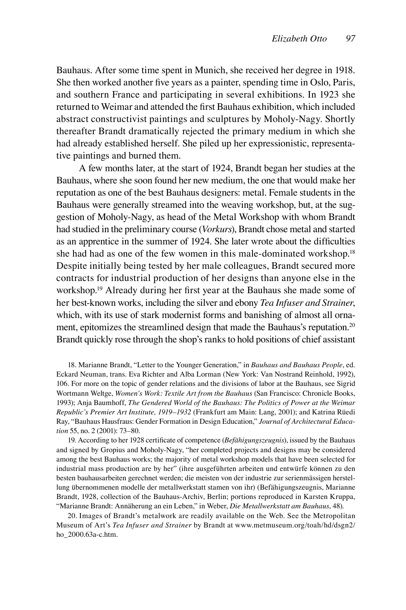Bauhaus. After some time spent in Munich, she received her degree in 1918. She then worked another five years as a painter, spending time in Oslo, Paris, and southern France and participating in several exhibitions. In 1923 she returned to Weimar and attended the first Bauhaus exhibition, which included abstract constructivist paintings and sculptures by Moholy-Nagy. Shortly thereafter Brandt dramatically rejected the primary medium in which she had already established herself. She piled up her expressionistic, representative paintings and burned them.

A few months later, at the start of 1924, Brandt began her studies at the Bauhaus, where she soon found her new medium, the one that would make her reputation as one of the best Bauhaus designers: metal. Female students in the Bauhaus were generally streamed into the weaving workshop, but, at the suggestion of Moholy-Nagy, as head of the Metal Workshop with whom Brandt had studied in the preliminary course (*Vorkurs*), Brandt chose metal and started as an apprentice in the summer of 1924. She later wrote about the difficulties she had had as one of the few women in this male-dominated workshop.<sup>18</sup> Despite initially being tested by her male colleagues, Brandt secured more contracts for industrial production of her designs than anyone else in the workshop.<sup>19</sup> Already during her first year at the Bauhaus she made some of her best-known works, including the silver and ebony *Tea Infuser and Strainer*, which, with its use of stark modernist forms and banishing of almost all ornament, epitomizes the streamlined design that made the Bauhaus's reputation.20 Brandt quickly rose through the shop's ranks to hold positions of chief assistant

18. Marianne Brandt, "Letter to the Younger Generation," in *Bauhaus and Bauhaus People*, ed. Eckard Neuman, trans. Eva Richter and Alba Lorman (New York: Van Nostrand Reinhold, 1992), 106. For more on the topic of gender relations and the divisions of labor at the Bauhaus, see Sigrid Wortmann Weltge, *Women's Work: Textile Art from the Bauhaus* (San Francisco: Chronicle Books, 1993); Anja Baumhoff, *The Gendered World of the Bauhaus: The Politics of Power at the Weimar Republic's Premier Art Institute, 1919–1932* (Frankfurt am Main: Lang, 2001); and Katrina Rüedi Ray, "Bauhaus Hausfraus: Gender Formation in Design Education," *Journal of Architectural Education* 55, no. 2 (2001): 73–80.

19. According to her 1928 certificate of competence (*Befähigungszeugnis*), issued by the Bauhaus and signed by Gropius and Moholy-Nagy, "her completed projects and designs may be considered among the best Bauhaus works; the majority of metal workshop models that have been selected for industrial mass production are by her" (ihre ausgeführten arbeiten und entwürfe können zu den besten bauhausarbeiten gerechnet werden; die meisten von der industrie zur serienmässigen herstellung übernommenen modelle der metallwerkstatt stamen von ihr) (Befähigungszeugnis, Marianne Brandt, 1928, collection of the Bauhaus-Archiv, Berlin; portions reproduced in Karsten Kruppa, "Marianne Brandt: Annäherung an ein Leben," in Weber, *Die Metallwerkstatt am Bauhaus*, 48).

20. Images of Brandt's metalwork are readily available on the Web. See the Metropolitan Museum of Art's *Tea Infuser and Strainer* by Brandt at www.metmuseum.org/toah/hd/dsgn2/ ho\_2000.63a-c.htm.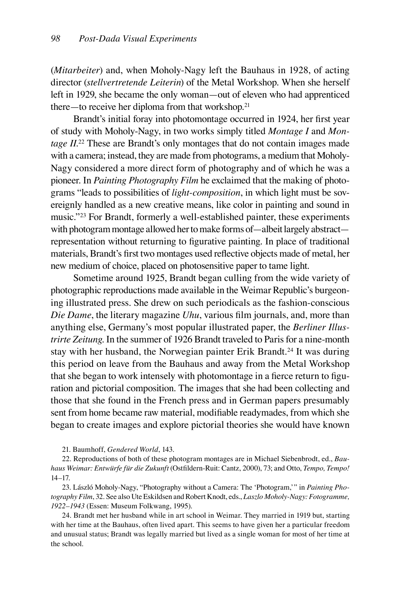(*Mitarbeiter*) and, when Moholy-Nagy left the Bauhaus in 1928, of acting director (*stellvertretende Leiterin*) of the Metal Workshop. When she herself left in 1929, she became the only woman—out of eleven who had apprenticed there—to receive her diploma from that workshop.<sup>21</sup>

Brandt's initial foray into photomontage occurred in 1924, her first year of study with Moholy-Nagy, in two works simply titled *Montage I* and *Montage II*. 22 These are Brandt's only montages that do not contain images made with a camera; instead, they are made from photograms, a medium that Moholy-Nagy considered a more direct form of photography and of which he was a pioneer. In *Painting Photography Film* he exclaimed that the making of photograms "leads to possibilities of *light-composition*, in which light must be sovereignly handled as a new creative means, like color in painting and sound in music."23 For Brandt, formerly a well-established painter, these experiments with photogram montage allowed her to make forms of—albeit largely abstract representation without returning to figurative painting. In place of traditional materials, Brandt's first two montages used reflective objects made of metal, her new medium of choice, placed on photosensitive paper to tame light.

Sometime around 1925, Brandt began culling from the wide variety of photographic reproductions made available in the Weimar Republic's burgeoning illustrated press. She drew on such periodicals as the fashion-conscious *Die Dame*, the literary magazine *Uhu*, various film journals, and, more than anything else, Germany's most popular illustrated paper, the *Berliner Illustrirte Zeitung*. In the summer of 1926 Brandt traveled to Paris for a nine-month stay with her husband, the Norwegian painter Erik Brandt.<sup>24</sup> It was during this period on leave from the Bauhaus and away from the Metal Workshop that she began to work intensely with photomontage in a fierce return to figuration and pictorial composition. The images that she had been collecting and those that she found in the French press and in German papers presumably sent from home became raw material, modifiable readymades, from which she began to create images and explore pictorial theories she would have known

## 21. Baumhoff, *Gendered World*, 143.

22. Reproductions of both of these photogram montages are in Michael Siebenbrodt, ed., *Bauhaus Weimar: Entwürfe für die Zukunft* (Ostfi ldern-Ruit: Cantz, 2000), 73; and Otto, *Tempo, Tempo!* 14–17.

23. László Moholy-Nagy, "Photography without a Camera: The 'Photogram,'" in *Painting Photography Film*, 32. See also Ute Eskildsen and Robert Knodt, eds., *Laszlo Moholy-Nagy: Fotogramme, 1922–1943* (Essen: Museum Folkwang, 1995).

24. Brandt met her husband while in art school in Weimar. They married in 1919 but, starting with her time at the Bauhaus, often lived apart. This seems to have given her a particular freedom and unusual status; Brandt was legally married but lived as a single woman for most of her time at the school.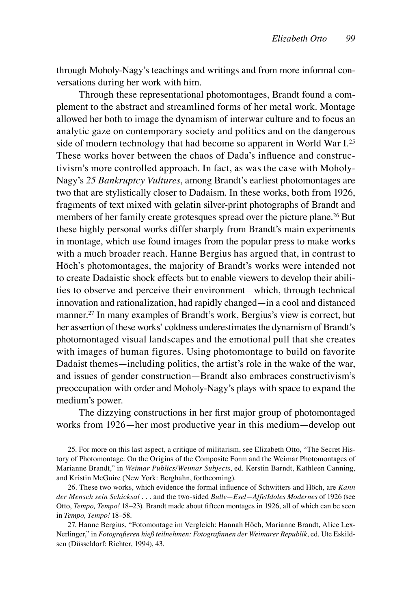through Moholy-Nagy's teachings and writings and from more informal conversations during her work with him.

Through these representational photomontages, Brandt found a complement to the abstract and streamlined forms of her metal work. Montage allowed her both to image the dynamism of interwar culture and to focus an analytic gaze on contemporary society and politics and on the dangerous side of modern technology that had become so apparent in World War I.<sup>25</sup> These works hover between the chaos of Dada's influence and constructivism's more controlled approach. In fact, as was the case with Moholy-Nagy's *25 Bankruptcy Vultures*, among Brandt's earliest photomontages are two that are stylistically closer to Dadaism. In these works, both from 1926, fragments of text mixed with gelatin silver-print photographs of Brandt and members of her family create grotesques spread over the picture plane.<sup>26</sup> But these highly personal works differ sharply from Brandt's main experiments in montage, which use found images from the popular press to make works with a much broader reach. Hanne Bergius has argued that, in contrast to Höch's photomontages, the majority of Brandt's works were intended not to create Dadaistic shock effects but to enable viewers to develop their abilities to observe and perceive their environment—which, through technical innovation and rationalization, had rapidly changed—in a cool and distanced manner.27 In many examples of Brandt's work, Bergius's view is correct, but her assertion of these works' coldness underestimates the dynamism of Brandt's photomontaged visual landscapes and the emotional pull that she creates with images of human figures. Using photomontage to build on favorite Dadaist themes—including politics, the artist's role in the wake of the war, and issues of gender construction—Brandt also embraces constructivism's preoccupation with order and Moholy-Nagy's plays with space to expand the medium's power.

The dizzying constructions in her first major group of photomontaged works from 1926—her most productive year in this medium—develop out

25. For more on this last aspect, a critique of militarism, see Elizabeth Otto, "The Secret History of Photomontage: On the Origins of the Composite Form and the Weimar Photomontages of Marianne Brandt," in *Weimar Publics/Weimar Subjects*, ed. Kerstin Barndt, Kathleen Canning, and Kristin McGuire (New York: Berghahn, forthcoming).

26. These two works, which evidence the formal influence of Schwitters and Höch, are *Kann der Mensch sein Schicksal . . .* and the two-sided *Bulle—Esel—Affe/Idoles Modernes* of 1926 (see Otto, *Tempo, Tempo!* 18–23). Brandt made about fifteen montages in 1926, all of which can be seen in *Tempo, Tempo!* 18–58.

27. Hanne Bergius, "Fotomontage im Vergleich: Hannah Höch, Marianne Brandt, Alice Lex-Nerlinger," in *Fotografieren hieß teilnehmen: Fotografinnen der Weimarer Republik*, ed. Ute Eskildsen (Düsseldorf: Richter, 1994), 43.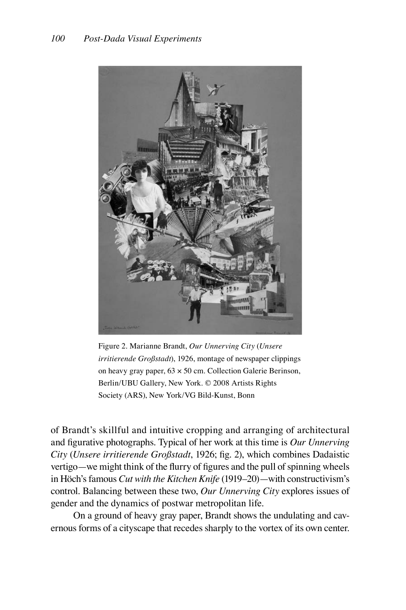

Figure 2. Marianne Brandt, *Our Unnerving City* (*Unsere irritierende Großstadt*), 1926, montage of newspaper clippings on heavy gray paper, 63 × 50 cm. Collection Galerie Berinson, Berlin/UBU Gallery, New York. © 2008 Artists Rights Society (ARS), New York/VG Bild-Kunst, Bonn

of Brandt's skillful and intuitive cropping and arranging of architectural and figurative photographs. Typical of her work at this time is *Our Unnerving City* (*Unsere irritierende Großstadt*, 1926; fig. 2), which combines Dadaistic vertigo—we might think of the flurry of figures and the pull of spinning wheels in Höch's famous *Cut with the Kitchen Knife* (1919–20)—with constructivism's control. Balancing between these two, *Our Unnerving City* explores issues of gender and the dynamics of postwar metropolitan life.

On a ground of heavy gray paper, Brandt shows the undulating and cavernous forms of a cityscape that recedes sharply to the vortex of its own center.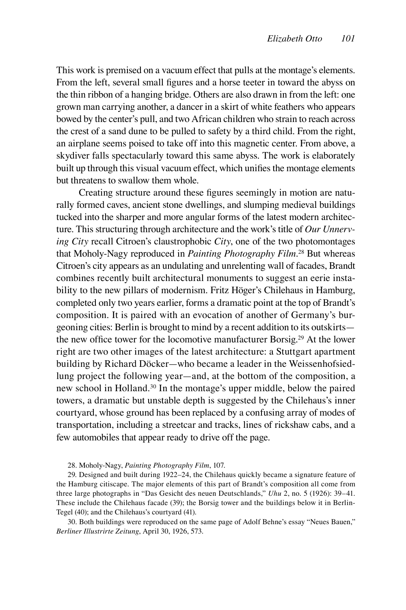This work is premised on a vacuum effect that pulls at the montage's elements. From the left, several small figures and a horse teeter in toward the abyss on the thin ribbon of a hanging bridge. Others are also drawn in from the left: one grown man carrying another, a dancer in a skirt of white feathers who appears bowed by the center's pull, and two African children who strain to reach across the crest of a sand dune to be pulled to safety by a third child. From the right, an airplane seems poised to take off into this magnetic center. From above, a skydiver falls spectacularly toward this same abyss. The work is elaborately built up through this visual vacuum effect, which unifies the montage elements but threatens to swallow them whole.

Creating structure around these figures seemingly in motion are naturally formed caves, ancient stone dwellings, and slumping medieval buildings tucked into the sharper and more angular forms of the latest modern architecture. This structuring through architecture and the work's title of *Our Unnerving City* recall Citroen's claustrophobic *City*, one of the two photomontages that Moholy-Nagy reproduced in *Painting Photography Film*. 28 But whereas Citroen's city appears as an undulating and unrelenting wall of facades, Brandt combines recently built architectural monuments to suggest an eerie instability to the new pillars of modernism. Fritz Höger's Chilehaus in Hamburg, completed only two years earlier, forms a dramatic point at the top of Brandt's composition. It is paired with an evocation of another of Germany's burgeoning cities: Berlin is brought to mind by a recent addition to its outskirts the new office tower for the locomotive manufacturer Borsig.<sup>29</sup> At the lower right are two other images of the latest architecture: a Stuttgart apartment building by Richard Döcker—who became a leader in the Weissenhofsiedlung project the following year—and, at the bottom of the composition, a new school in Holland.30 In the montage's upper middle, below the paired towers, a dramatic but unstable depth is suggested by the Chilehaus's inner courtyard, whose ground has been replaced by a confusing array of modes of transportation, including a streetcar and tracks, lines of rickshaw cabs, and a few automobiles that appear ready to drive off the page.

28. Moholy-Nagy, *Painting Photography Film*, 107.

29. Designed and built during 1922–24, the Chilehaus quickly became a signature feature of the Hamburg citiscape. The major elements of this part of Brandt's composition all come from three large photographs in "Das Gesicht des neuen Deutschlands," *Uhu* 2, no. 5 (1926): 39–41. These include the Chilehaus facade (39); the Borsig tower and the buildings below it in Berlin-Tegel (40); and the Chilehaus's courtyard (41).

30. Both buildings were reproduced on the same page of Adolf Behne's essay "Neues Bauen," *Berliner Illustrirte Zeitung*, April 30, 1926, 573.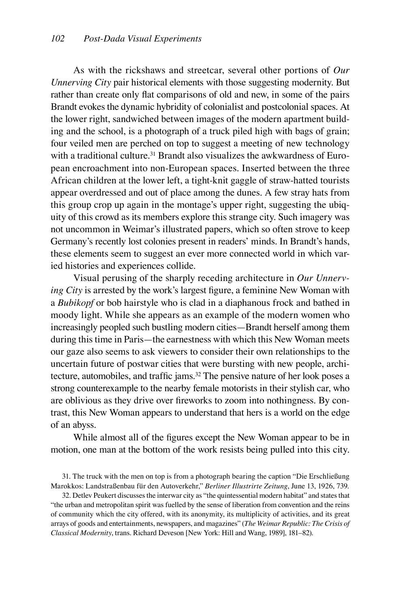As with the rickshaws and streetcar, several other portions of *Our Unnerving City* pair historical elements with those suggesting modernity. But rather than create only flat comparisons of old and new, in some of the pairs Brandt evokes the dynamic hybridity of colonialist and postcolonial spaces. At the lower right, sandwiched between images of the modern apartment building and the school, is a photograph of a truck piled high with bags of grain; four veiled men are perched on top to suggest a meeting of new technology with a traditional culture.<sup>31</sup> Brandt also visualizes the awkwardness of European encroachment into non-European spaces. Inserted between the three African children at the lower left, a tight-knit gaggle of straw-hatted tourists appear overdressed and out of place among the dunes. A few stray hats from this group crop up again in the montage's upper right, suggesting the ubiquity of this crowd as its members explore this strange city. Such imagery was not uncommon in Weimar's illustrated papers, which so often strove to keep Germany's recently lost colonies present in readers' minds. In Brandt's hands, these elements seem to suggest an ever more connected world in which varied histories and experiences collide.

Visual perusing of the sharply receding architecture in *Our Unnerving City* is arrested by the work's largest figure, a feminine New Woman with a *Bubikopf* or bob hairstyle who is clad in a diaphanous frock and bathed in moody light. While she appears as an example of the modern women who increasingly peopled such bustling modern cities—Brandt herself among them during this time in Paris—the earnestness with which this New Woman meets our gaze also seems to ask viewers to consider their own relationships to the uncertain future of postwar cities that were bursting with new people, architecture, automobiles, and traffic jams.<sup>32</sup> The pensive nature of her look poses a strong counterexample to the nearby female motorists in their stylish car, who are oblivious as they drive over fireworks to zoom into nothingness. By contrast, this New Woman appears to understand that hers is a world on the edge of an abyss.

While almost all of the figures except the New Woman appear to be in motion, one man at the bottom of the work resists being pulled into this city.

32. Detlev Peukert discusses the interwar city as "the quintessential modern habitat" and states that "the urban and metropolitan spirit was fuelled by the sense of liberation from convention and the reins of community which the city offered, with its anonymity, its multiplicity of activities, and its great arrays of goods and entertainments, newspapers, and magazines" (*The Weimar Republic: The Crisis of Classical Modernity*, trans. Richard Deveson [New York: Hill and Wang, 1989], 181–82).

<sup>31.</sup> The truck with the men on top is from a photograph bearing the caption "Die Erschließung Marokkos: Landstraßenbau für den Autoverkehr," *Berliner Illustrirte Zeitung*, June 13, 1926, 739.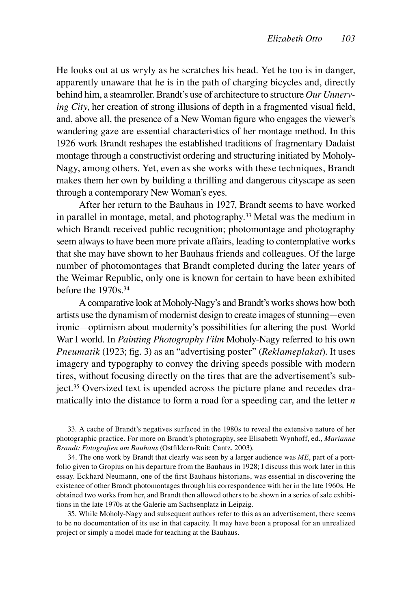He looks out at us wryly as he scratches his head. Yet he too is in danger, apparently unaware that he is in the path of charging bicycles and, directly behind him, a steamroller. Brandt's use of architecture to structure *Our Unnerving City*, her creation of strong illusions of depth in a fragmented visual field, and, above all, the presence of a New Woman figure who engages the viewer's wandering gaze are essential characteristics of her montage method. In this 1926 work Brandt reshapes the established traditions of fragmentary Dadaist montage through a constructivist ordering and structuring initiated by Moholy-Nagy, among others. Yet, even as she works with these techniques, Brandt makes them her own by building a thrilling and dangerous cityscape as seen through a contemporary New Woman's eyes.

After her return to the Bauhaus in 1927, Brandt seems to have worked in parallel in montage, metal, and photography.<sup>33</sup> Metal was the medium in which Brandt received public recognition; photomontage and photography seem always to have been more private affairs, leading to contemplative works that she may have shown to her Bauhaus friends and colleagues. Of the large number of photomontages that Brandt completed during the later years of the Weimar Republic, only one is known for certain to have been exhibited before the 1970s.<sup>34</sup>

A comparative look at Moholy-Nagy's and Brandt's works shows how both artists use the dynamism of modernist design to create images of stunning—even ironic—optimism about modernity's possibilities for altering the post–World War I world. In *Painting Photography Film* Moholy-Nagy referred to his own *Pneumatik* (1923; fig. 3) as an "advertising poster" (*Reklameplakat*). It uses imagery and typography to convey the driving speeds possible with modern tires, without focusing directly on the tires that are the advertisement's subject.35 Oversized text is upended across the picture plane and recedes dramatically into the distance to form a road for a speeding car, and the letter *n*

33. A cache of Brandt's negatives surfaced in the 1980s to reveal the extensive nature of her photographic practice. For more on Brandt's photography, see Elisabeth Wynhoff, ed., *Marianne*  Brandt: Fotografien am Bauhaus (Ostfildern-Ruit: Cantz, 2003).

34. The one work by Brandt that clearly was seen by a larger audience was *ME*, part of a portfolio given to Gropius on his departure from the Bauhaus in 1928; I discuss this work later in this essay. Eckhard Neumann, one of the first Bauhaus historians, was essential in discovering the existence of other Brandt photomontages through his correspondence with her in the late 1960s. He obtained two works from her, and Brandt then allowed others to be shown in a series of sale exhibitions in the late 1970s at the Galerie am Sachsenplatz in Leipzig.

35. While Moholy-Nagy and subsequent authors refer to this as an advertisement, there seems to be no documentation of its use in that capacity. It may have been a proposal for an unrealized project or simply a model made for teaching at the Bauhaus.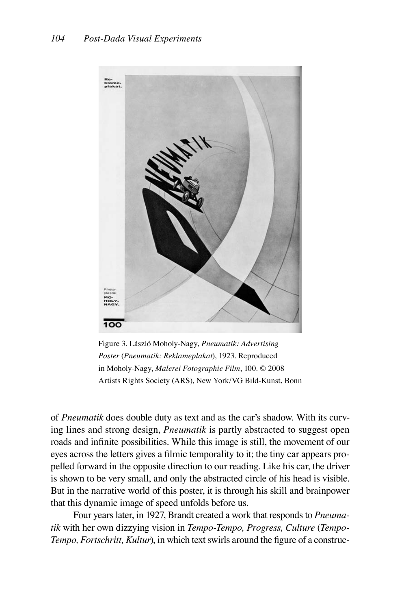

Figure 3. László Moholy-Nagy, *Pneumatik: Advertising Poster* (*Pneumatik: Reklameplakat*), 1923. Reproduced in Moholy-Nagy, *Malerei Fotographie Film*, 100. © 2008 Artists Rights Society (ARS), New York/VG Bild-Kunst, Bonn

of *Pneumatik* does double duty as text and as the car's shadow. With its curving lines and strong design, *Pneumatik* is partly abstracted to suggest open roads and infinite possibilities. While this image is still, the movement of our eyes across the letters gives a filmic temporality to it; the tiny car appears propelled forward in the opposite direction to our reading. Like his car, the driver is shown to be very small, and only the abstracted circle of his head is visible. But in the narrative world of this poster, it is through his skill and brainpower that this dynamic image of speed unfolds before us.

Four years later, in 1927, Brandt created a work that responds to *Pneumatik* with her own dizzying vision in *Tempo-Tempo, Progress, Culture* (*Tempo-Tempo, Fortschritt, Kultur*), in which text swirls around the figure of a construc-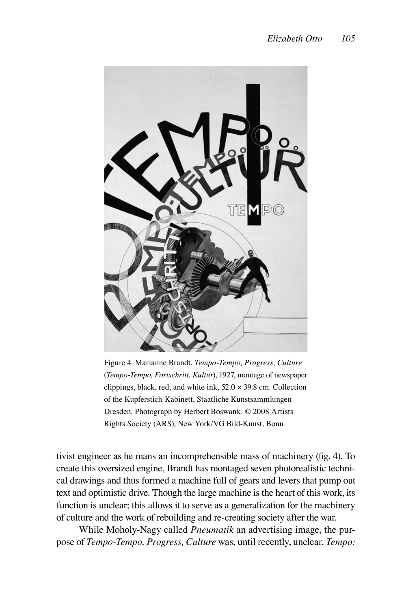

Figure 4. Marianne Brandt, *Tempo-Tempo, Progress, Culture* (*Tempo-Tempo, Fortschritt, Kultur*), 1927, montage of newspaper clippings, black, red, and white ink,  $52.0 \times 39.8$  cm. Collection of the Kupferstich-Kabinett, Staatliche Kunstsammlungen Dresden. Photograph by Herbert Boswank. © 2008 Artists Rights Society (ARS), New York/VG Bild-Kunst, Bonn

tivist engineer as he mans an incomprehensible mass of machinery (fig. 4). To create this oversized engine, Brandt has montaged seven photorealistic technical drawings and thus formed a machine full of gears and levers that pump out text and optimistic drive. Though the large machine is the heart of this work, its function is unclear; this allows it to serve as a generalization for the machinery of culture and the work of rebuilding and re-creating society after the war.

While Moholy-Nagy called *Pneumatik* an advertising image, the purpose of *Tempo-Tempo, Progress, Culture* was, until recently, unclear. *Tempo:*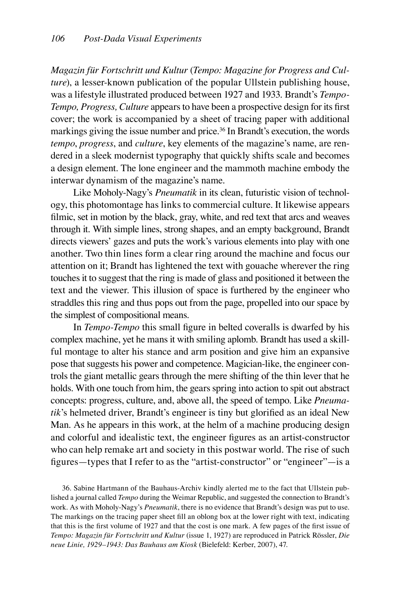*Magazin für Fortschritt und Kultur* (*Tempo: Magazine for Progress and Culture*), a lesser-known publication of the popular Ullstein publishing house, was a lifestyle illustrated produced between 1927 and 1933. Brandt's *Tempo-Tempo, Progress, Culture* appears to have been a prospective design for its first cover; the work is accompanied by a sheet of tracing paper with additional markings giving the issue number and price.<sup>36</sup> In Brandt's execution, the words *tempo*, *progress*, and *culture*, key elements of the magazine's name, are rendered in a sleek modernist typography that quickly shifts scale and becomes a design element. The lone engineer and the mammoth machine embody the interwar dynamism of the magazine's name.

Like Moholy-Nagy's *Pneumatik* in its clean, futuristic vision of technology, this photomontage has links to commercial culture. It likewise appears filmic, set in motion by the black, gray, white, and red text that arcs and weaves through it. With simple lines, strong shapes, and an empty background, Brandt directs viewers' gazes and puts the work's various elements into play with one another. Two thin lines form a clear ring around the machine and focus our attention on it; Brandt has lightened the text with gouache wherever the ring touches it to suggest that the ring is made of glass and positioned it between the text and the viewer. This illusion of space is furthered by the engineer who straddles this ring and thus pops out from the page, propelled into our space by the simplest of compositional means.

In *Tempo-Tempo* this small figure in belted coveralls is dwarfed by his complex machine, yet he mans it with smiling aplomb. Brandt has used a skillful montage to alter his stance and arm position and give him an expansive pose that suggests his power and competence. Magician-like, the engineer controls the giant metallic gears through the mere shifting of the thin lever that he holds. With one touch from him, the gears spring into action to spit out abstract concepts: progress, culture, and, above all, the speed of tempo. Like *Pneumatik*'s helmeted driver, Brandt's engineer is tiny but glorified as an ideal New Man. As he appears in this work, at the helm of a machine producing design and colorful and idealistic text, the engineer figures as an artist-constructor who can help remake art and society in this postwar world. The rise of such figures—types that I refer to as the "artist-constructor" or "engineer"—is a

36. Sabine Hartmann of the Bauhaus-Archiv kindly alerted me to the fact that Ullstein published a journal called *Tempo* during the Weimar Republic, and suggested the connection to Brandt's work. As with Moholy-Nagy's *Pneumatik*, there is no evidence that Brandt's design was put to use. The markings on the tracing paper sheet fill an oblong box at the lower right with text, indicating that this is the first volume of 1927 and that the cost is one mark. A few pages of the first issue of *Tempo: Magazin für Fortschritt und Kultur* (issue 1, 1927) are reproduced in Patrick Rössler, *Die neue Linie, 1929–1943: Das Bauhaus am Kiosk* (Bielefeld: Kerber, 2007), 47.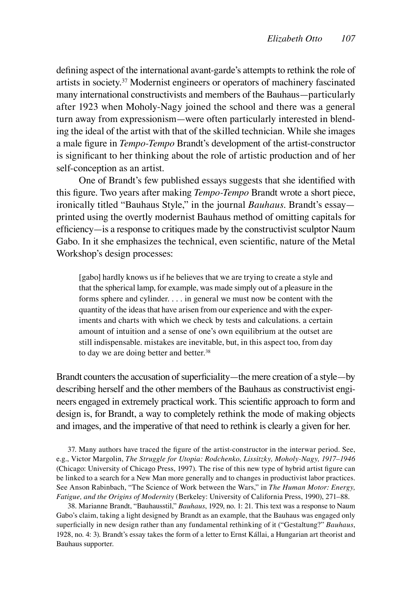defining aspect of the international avant-garde's attempts to rethink the role of artists in society.37 Modernist engineers or operators of machinery fascinated many international constructivists and members of the Bauhaus—particularly after 1923 when Moholy-Nagy joined the school and there was a general turn away from expressionism—were often particularly interested in blending the ideal of the artist with that of the skilled technician. While she images a male figure in *Tempo-Tempo* Brandt's development of the artist-constructor is significant to her thinking about the role of artistic production and of her self-conception as an artist.

One of Brandt's few published essays suggests that she identified with this figure. Two years after making *Tempo-Tempo* Brandt wrote a short piece, ironically titled "Bauhaus Style," in the journal *Bauhaus*. Brandt's essay printed using the overtly modernist Bauhaus method of omitting capitals for efficiency—is a response to critiques made by the constructivist sculptor Naum Gabo. In it she emphasizes the technical, even scientific, nature of the Metal Workshop's design processes:

[gabo] hardly knows us if he believes that we are trying to create a style and that the spherical lamp, for example, was made simply out of a pleasure in the forms sphere and cylinder. . . . in general we must now be content with the quantity of the ideas that have arisen from our experience and with the experiments and charts with which we check by tests and calculations. a certain amount of intuition and a sense of one's own equilibrium at the outset are still indispensable. mistakes are inevitable, but, in this aspect too, from day to day we are doing better and better.<sup>38</sup>

Brandt counters the accusation of superficiality—the mere creation of a style—by describing herself and the other members of the Bauhaus as constructivist engineers engaged in extremely practical work. This scientific approach to form and design is, for Brandt, a way to completely rethink the mode of making objects and images, and the imperative of that need to rethink is clearly a given for her.

37. Many authors have traced the figure of the artist-constructor in the interwar period. See, e.g., Victor Margolin, *The Struggle for Utopia: Rodchenko, Lissitzky, Moholy-Nagy, 1917–1946* (Chicago: University of Chicago Press, 1997). The rise of this new type of hybrid artist figure can be linked to a search for a New Man more generally and to changes in productivist labor practices. See Anson Rabinbach, "The Science of Work between the Wars," in *The Human Motor: Energy, Fatigue, and the Origins of Modernity* (Berkeley: University of California Press, 1990), 271–88.

38. Marianne Brandt, "Bauhausstil," *Bauhaus*, 1929, no. 1: 21. This text was a response to Naum Gabo's claim, taking a light designed by Brandt as an example, that the Bauhaus was engaged only superficially in new design rather than any fundamental rethinking of it ("Gestaltung?" *Bauhaus*, 1928, no. 4: 3). Brandt's essay takes the form of a letter to Ernst Kállai, a Hungarian art theorist and Bauhaus supporter.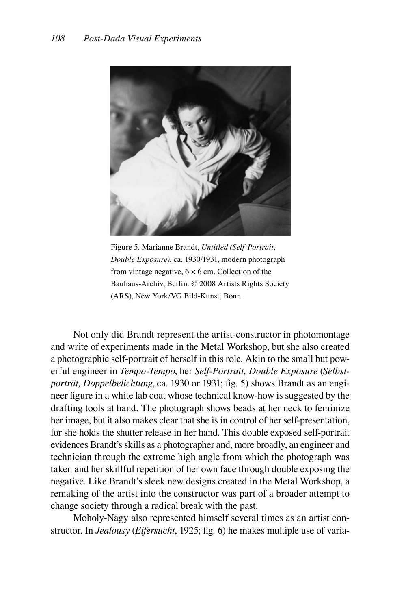

Figure 5. Marianne Brandt, *Untitled (Self-Portrait, Double Exposure)*, ca. 1930/1931, modern photograph from vintage negative,  $6 \times 6$  cm. Collection of the Bauhaus-Archiv, Berlin. © 2008 Artists Rights Society (ARS), New York/VG Bild-Kunst, Bonn

Not only did Brandt represent the artist-constructor in photomontage and write of experiments made in the Metal Workshop, but she also created a photographic self-portrait of herself in this role. Akin to the small but powerful engineer in *Tempo-Tempo*, her *Self-Portrait, Double Exposure* (*Selbstporträt, Doppelbelichtung*, ca. 1930 or 1931; fig. 5) shows Brandt as an engineer figure in a white lab coat whose technical know-how is suggested by the drafting tools at hand. The photograph shows beads at her neck to feminize her image, but it also makes clear that she is in control of her self-presentation, for she holds the shutter release in her hand. This double exposed self-portrait evidences Brandt's skills as a photographer and, more broadly, an engineer and technician through the extreme high angle from which the photograph was taken and her skillful repetition of her own face through double exposing the negative. Like Brandt's sleek new designs created in the Metal Workshop, a remaking of the artist into the constructor was part of a broader attempt to change society through a radical break with the past.

Moholy-Nagy also represented himself several times as an artist constructor. In *Jealousy* (*Eifersucht*, 1925; fig. 6) he makes multiple use of varia-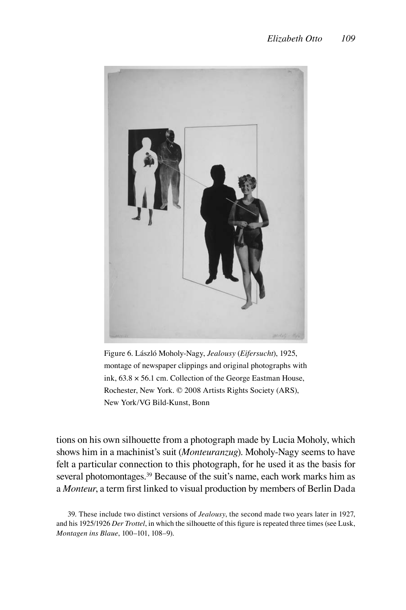

Figure 6. László Moholy-Nagy, *Jealousy* (*Eifersucht*), 1925, montage of newspaper clippings and original photographs with ink, 63.8 × 56.1 cm. Collection of the George Eastman House, Rochester, New York. © 2008 Artists Rights Society (ARS), New York/VG Bild-Kunst, Bonn

tions on his own silhouette from a photograph made by Lucia Moholy, which shows him in a machinist's suit (*Monteuranzug*). Moholy-Nagy seems to have felt a particular connection to this photograph, for he used it as the basis for several photomontages.<sup>39</sup> Because of the suit's name, each work marks him as a *Monteur*, a term first linked to visual production by members of Berlin Dada

39. These include two distinct versions of *Jealousy*, the second made two years later in 1927, and his 1925/1926 *Der Trottel*, in which the silhouette of this figure is repeated three times (see Lusk, *Montagen ins Blaue*, 100–101, 108–9).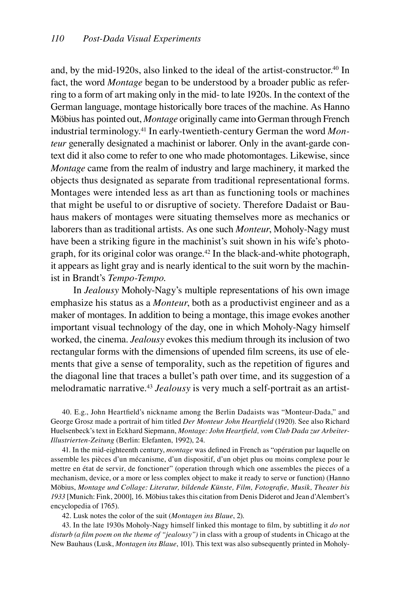and, by the mid-1920s, also linked to the ideal of the artist-constructor.40 In fact, the word *Montage* began to be understood by a broader public as referring to a form of art making only in the mid- to late 1920s. In the context of the German language, montage historically bore traces of the machine. As Hanno Möbius has pointed out, *Montage* originally came into German through French industrial terminology.41 In early-twentieth-century German the word *Monteur* generally designated a machinist or laborer. Only in the avant-garde context did it also come to refer to one who made photomontages. Likewise, since *Montage* came from the realm of industry and large machinery, it marked the objects thus designated as separate from traditional representational forms. Montages were intended less as art than as functioning tools or machines that might be useful to or disruptive of society. Therefore Dadaist or Bauhaus makers of montages were situating themselves more as mechanics or laborers than as traditional artists. As one such *Monteur*, Moholy-Nagy must have been a striking figure in the machinist's suit shown in his wife's photograph, for its original color was orange.<sup>42</sup> In the black-and-white photograph, it appears as light gray and is nearly identical to the suit worn by the machinist in Brandt's *Tempo-Tempo*.

In *Jealousy* Moholy-Nagy's multiple representations of his own image emphasize his status as a *Monteur*, both as a productivist engineer and as a maker of montages. In addition to being a montage, this image evokes another important visual technology of the day, one in which Moholy-Nagy himself worked, the cinema. *Jealousy* evokes this medium through its inclusion of two rectangular forms with the dimensions of upended film screens, its use of elements that give a sense of temporality, such as the repetition of figures and the diagonal line that traces a bullet's path over time, and its suggestion of a melodramatic narrative.43 *Jealousy* is very much a self-portrait as an artist-

40. E.g., John Heartfield's nickname among the Berlin Dadaists was "Monteur-Dada," and George Grosz made a portrait of him titled *Der Monteur John Heartfield* (1920). See also Richard Huelsenbeck's text in Eckhard Siepmann, Montage: John Heartfield, vom Club Dada zur Arbeiter-*Illustrierten-Zeitung* (Berlin: Elefanten, 1992), 24.

41. In the mid-eighteenth century, *montage* was defined in French as "opération par laquelle on assemble les pièces d'un mécanisme, d'un dispositif, d'un objet plus ou moins complexe pour le mettre en état de servir, de fonctioner" (operation through which one assembles the pieces of a mechanism, device, or a more or less complex object to make it ready to serve or function) (Hanno Möbius, Montage und Collage: Literatur, bildende Künste, Film, Fotografie, Musik, Theater bis *1933* [Munich: Fink, 2000], 16. Möbius takes this citation from Denis Diderot and Jean d'Alembert's encyclopedia of 1765).

42. Lusk notes the color of the suit (*Montagen ins Blaue*, 2).

43. In the late 1930s Moholy-Nagy himself linked this montage to film, by subtitling it *do not disturb (a film poem on the theme of "jealousy")* in class with a group of students in Chicago at the New Bauhaus (Lusk, *Montagen ins Blaue*, 101). This text was also subsequently printed in Moholy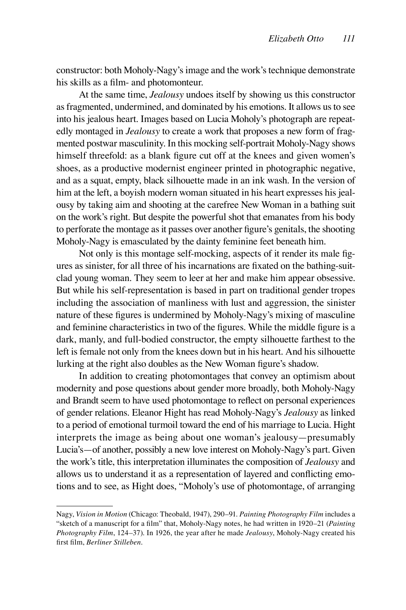constructor: both Moholy-Nagy's image and the work's technique demonstrate his skills as a film- and photomonteur.

At the same time, *Jealousy* undoes itself by showing us this constructor as fragmented, undermined, and dominated by his emotions. It allows us to see into his jealous heart. Images based on Lucia Moholy's photograph are repeatedly montaged in *Jealousy* to create a work that proposes a new form of fragmented postwar masculinity. In this mocking self-portrait Moholy-Nagy shows himself threefold: as a blank figure cut off at the knees and given women's shoes, as a productive modernist engineer printed in photographic negative, and as a squat, empty, black silhouette made in an ink wash. In the version of him at the left, a boyish modern woman situated in his heart expresses his jealousy by taking aim and shooting at the carefree New Woman in a bathing suit on the work's right. But despite the powerful shot that emanates from his body to perforate the montage as it passes over another figure's genitals, the shooting Moholy-Nagy is emasculated by the dainty feminine feet beneath him.

Not only is this montage self-mocking, aspects of it render its male figures as sinister, for all three of his incarnations are fixated on the bathing-suitclad young woman. They seem to leer at her and make him appear obsessive. But while his self-representation is based in part on traditional gender tropes including the association of manliness with lust and aggression, the sinister nature of these figures is undermined by Moholy-Nagy's mixing of masculine and feminine characteristics in two of the figures. While the middle figure is a dark, manly, and full-bodied constructor, the empty silhouette farthest to the left is female not only from the knees down but in his heart. And his silhouette lurking at the right also doubles as the New Woman figure's shadow.

In addition to creating photomontages that convey an optimism about modernity and pose questions about gender more broadly, both Moholy-Nagy and Brandt seem to have used photomontage to reflect on personal experiences of gender relations. Eleanor Hight has read Moholy-Nagy's *Jealousy* as linked to a period of emotional turmoil toward the end of his marriage to Lucia. Hight interprets the image as being about one woman's jealousy—presumably Lucia's—of another, possibly a new love interest on Moholy-Nagy's part. Given the work's title, this interpretation illuminates the composition of *Jealousy* and allows us to understand it as a representation of layered and conflicting emotions and to see, as Hight does, "Moholy's use of photomontage, of arranging

Nagy, *Vision in Motion* (Chicago: Theobald, 1947), 290–91. *Painting Photography Film* includes a "sketch of a manuscript for a film" that, Moholy-Nagy notes, he had written in 1920-21 (Painting *Photography Film*, 124–37). In 1926, the year after he made *Jealousy*, Moholy-Nagy created his fi rst fi lm, *Berliner Stilleben*.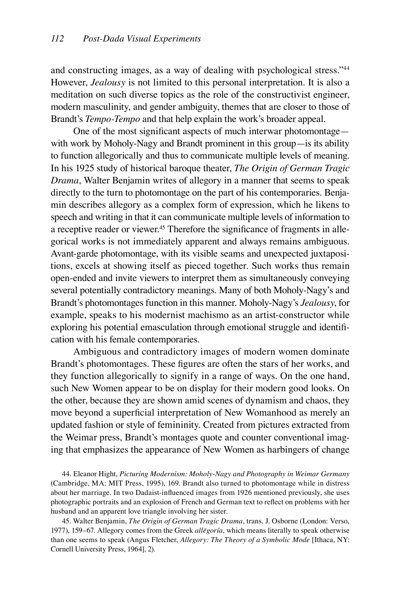and constructing images, as a way of dealing with psychological stress."44 However, *Jealousy* is not limited to this personal interpretation. It is also a meditation on such diverse topics as the role of the constructivist engineer, modern masculinity, and gender ambiguity, themes that are closer to those of Brandt's *Tempo-Tempo* and that help explain the work's broader appeal.

One of the most significant aspects of much interwar photomontage with work by Moholy-Nagy and Brandt prominent in this group—is its ability to function allegorically and thus to communicate multiple levels of meaning. In his 1925 study of historical baroque theater, *The Origin of German Tragic Drama*, Walter Benjamin writes of allegory in a manner that seems to speak directly to the turn to photomontage on the part of his contemporaries. Benjamin describes allegory as a complex form of expression, which he likens to speech and writing in that it can communicate multiple levels of information to a receptive reader or viewer.<sup>45</sup> Therefore the significance of fragments in allegorical works is not immediately apparent and always remains ambiguous. Avant-garde photomontage, with its visible seams and unexpected juxtapositions, excels at showing itself as pieced together. Such works thus remain open-ended and invite viewers to interpret them as simultaneously conveying several potentially contradictory meanings. Many of both Moholy-Nagy's and Brandt's photomontages function in this manner. Moholy-Nagy's *Jealousy*, for example, speaks to his modernist machismo as an artist-constructor while exploring his potential emasculation through emotional struggle and identification with his female contemporaries.

Ambiguous and contradictory images of modern women dominate Brandt's photomontages. These figures are often the stars of her works, and they function allegorically to signify in a range of ways. On the one hand, such New Women appear to be on display for their modern good looks. On the other, because they are shown amid scenes of dynamism and chaos, they move beyond a superficial interpretation of New Womanhood as merely an updated fashion or style of femininity. Created from pictures extracted from the Weimar press, Brandt's montages quote and counter conventional imaging that emphasizes the appearance of New Women as harbingers of change

44. Eleanor Hight, *Picturing Modernism: Moholy-Nagy and Photography in Weimar Germany* (Cambridge, MA: MIT Press, 1995), 169. Brandt also turned to photomontage while in distress about her marriage. In two Dadaist-influenced images from 1926 mentioned previously, she uses photographic portraits and an explosion of French and German text to reflect on problems with her husband and an apparent love triangle involving her sister.

45. Walter Benjamin, *The Origin of German Tragic Drama*, trans. J. Osborne (London: Verso, 1977), 159–67. Allegory comes from the Greek *allēgoría*, which means literally to speak otherwise than one seems to speak (Angus Fletcher, *Allegory: The Theory of a Symbolic Mode* [Ithaca, NY: Cornell University Press, 1964], 2).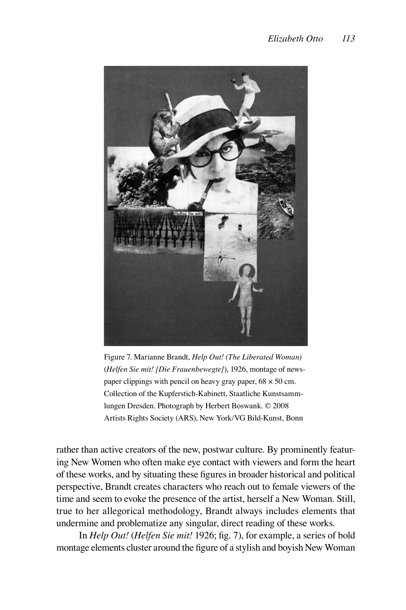

Figure 7. Marianne Brandt, *Help Out! (The Liberated Woman)* (*Helfen Sie mit! [Die Frauenbewegte]*), 1926, montage of newspaper clippings with pencil on heavy gray paper,  $68 \times 50$  cm. Collection of the Kupferstich-Kabinett, Staatliche Kunstsammlungen Dresden. Photograph by Herbert Boswank. © 2008 Artists Rights Society (ARS), New York/VG Bild-Kunst, Bonn

rather than active creators of the new, postwar culture. By prominently featuring New Women who often make eye contact with viewers and form the heart of these works, and by situating these figures in broader historical and political perspective, Brandt creates characters who reach out to female viewers of the time and seem to evoke the presence of the artist, herself a New Woman. Still, true to her allegorical methodology, Brandt always includes elements that undermine and problematize any singular, direct reading of these works.

In *Help Out!* (*Helfen Sie mit!* 1926; fig. 7), for example, a series of bold montage elements cluster around the figure of a stylish and boyish New Woman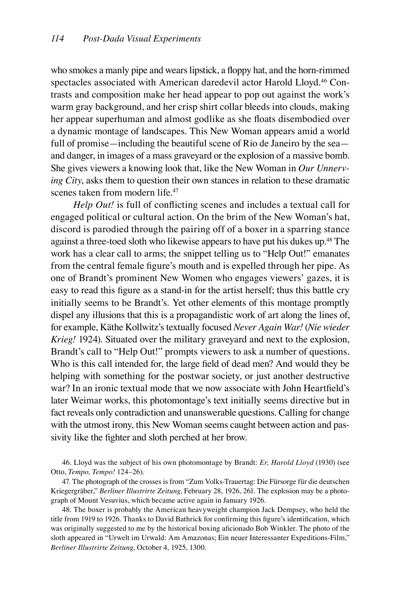who smokes a manly pipe and wears lipstick, a floppy hat, and the horn-rimmed spectacles associated with American daredevil actor Harold Lloyd.46 Contrasts and composition make her head appear to pop out against the work's warm gray background, and her crisp shirt collar bleeds into clouds, making her appear superhuman and almost godlike as she floats disembodied over a dynamic montage of landscapes. This New Woman appears amid a world full of promise—including the beautiful scene of Rio de Janeiro by the sea and danger, in images of a mass graveyard or the explosion of a massive bomb. She gives viewers a knowing look that, like the New Woman in *Our Unnerving City*, asks them to question their own stances in relation to these dramatic scenes taken from modern life.47

*Help Out!* is full of conflicting scenes and includes a textual call for engaged political or cultural action. On the brim of the New Woman's hat, discord is parodied through the pairing off of a boxer in a sparring stance against a three-toed sloth who likewise appears to have put his dukes up.<sup>48</sup> The work has a clear call to arms; the snippet telling us to "Help Out!" emanates from the central female figure's mouth and is expelled through her pipe. As one of Brandt's prominent New Women who engages viewers' gazes, it is easy to read this figure as a stand-in for the artist herself; thus this battle cry initially seems to be Brandt's. Yet other elements of this montage promptly dispel any illusions that this is a propagandistic work of art along the lines of, for example, Käthe Kollwitz's textually focused *Never Again War!* (*Nie wieder Krieg!* 1924). Situated over the military graveyard and next to the explosion, Brandt's call to "Help Out!" prompts viewers to ask a number of questions. Who is this call intended for, the large field of dead men? And would they be helping with something for the postwar society, or just another destructive war? In an ironic textual mode that we now associate with John Heartfield's later Weimar works, this photomontage's text initially seems directive but in fact reveals only contradiction and unanswerable questions. Calling for change with the utmost irony, this New Woman seems caught between action and passivity like the fighter and sloth perched at her brow.

46. Lloyd was the subject of his own photomontage by Brandt: *Er, Harold Lloyd* (1930) (see Otto, *Tempo, Tempo!* 124–26).

48. The boxer is probably the American heavyweight champion Jack Dempsey, who held the title from 1919 to 1926. Thanks to David Bathrick for confirming this figure's identification, which was originally suggested to me by the historical boxing aficionado Bob Winkler. The photo of the sloth appeared in "Urwelt im Urwald: Am Amazonas; Ein neuer Interessanter Expeditions-Film," *Berliner Illustrirte Zeitung*, October 4, 1925, 1300.

<sup>47.</sup> The photograph of the crosses is from "Zum Volks-Trauertag: Die Fürsorge für die deutschen Kriegergräber," *Berliner Illustrirte Zeitung*, February 28, 1926, 261. The explosion may be a photograph of Mount Vesuvius, which became active again in January 1926.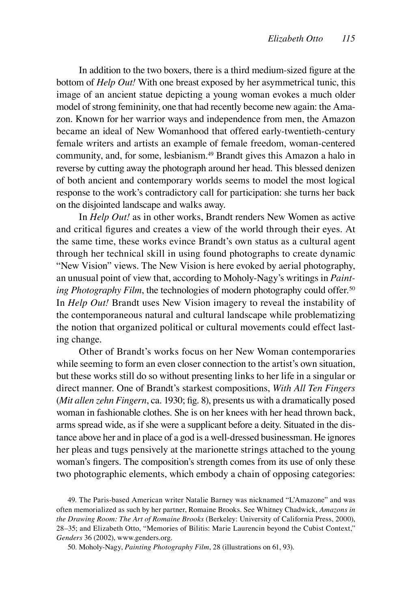In addition to the two boxers, there is a third medium-sized figure at the bottom of *Help Out!* With one breast exposed by her asymmetrical tunic, this image of an ancient statue depicting a young woman evokes a much older model of strong femininity, one that had recently become new again: the Amazon. Known for her warrior ways and independence from men, the Amazon became an ideal of New Womanhood that offered early-twentieth-century female writers and artists an example of female freedom, woman-centered community, and, for some, lesbianism.49 Brandt gives this Amazon a halo in reverse by cutting away the photograph around her head. This blessed denizen of both ancient and contemporary worlds seems to model the most logical response to the work's contradictory call for participation: she turns her back on the disjointed landscape and walks away.

In *Help Out!* as in other works, Brandt renders New Women as active and critical figures and creates a view of the world through their eyes. At the same time, these works evince Brandt's own status as a cultural agent through her technical skill in using found photographs to create dynamic "New Vision" views. The New Vision is here evoked by aerial photography, an unusual point of view that, according to Moholy-Nagy's writings in *Painting Photography Film*, the technologies of modern photography could offer.<sup>50</sup> In *Help Out!* Brandt uses New Vision imagery to reveal the instability of the contemporaneous natural and cultural landscape while problematizing the notion that organized political or cultural movements could effect lasting change.

Other of Brandt's works focus on her New Woman contemporaries while seeming to form an even closer connection to the artist's own situation, but these works still do so without presenting links to her life in a singular or direct manner. One of Brandt's starkest compositions, *With All Ten Fingers* (*Mit allen zehn Fingern*, ca. 1930; fig. 8), presents us with a dramatically posed woman in fashionable clothes. She is on her knees with her head thrown back, arms spread wide, as if she were a supplicant before a deity. Situated in the distance above her and in place of a god is a well-dressed businessman. He ignores her pleas and tugs pensively at the marionette strings attached to the young woman's fingers. The composition's strength comes from its use of only these two photographic elements, which embody a chain of opposing categories:

49. The Paris-based American writer Natalie Barney was nicknamed "L'Amazone" and was often memorialized as such by her partner, Romaine Brooks. See Whitney Chadwick, *Amazons in the Drawing Room: The Art of Romaine Brooks* (Berkeley: University of California Press, 2000), 28–35; and Elizabeth Otto, "Memories of Bilitis: Marie Laurencin beyond the Cubist Context," *Genders* 36 (2002), www.genders.org.

50. Moholy-Nagy, *Painting Photography Film*, 28 (illustrations on 61, 93).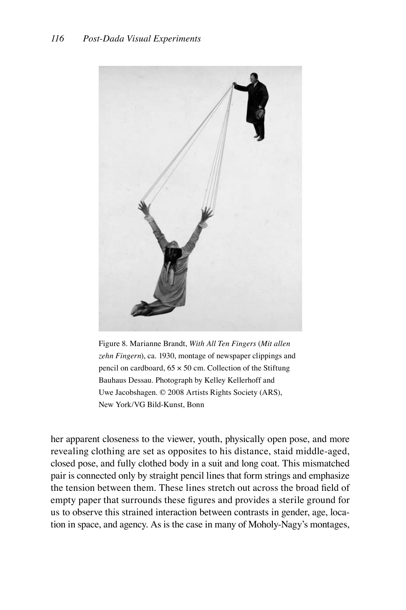

Figure 8. Marianne Brandt, *With All Ten Fingers* (*Mit allen zehn Fingern*), ca. 1930, montage of newspaper clippings and pencil on cardboard,  $65 \times 50$  cm. Collection of the Stiftung Bauhaus Dessau. Photograph by Kelley Kellerhoff and Uwe Jacobshagen. © 2008 Artists Rights Society (ARS), New York/VG Bild-Kunst, Bonn

her apparent closeness to the viewer, youth, physically open pose, and more revealing clothing are set as opposites to his distance, staid middle-aged, closed pose, and fully clothed body in a suit and long coat. This mismatched pair is connected only by straight pencil lines that form strings and emphasize the tension between them. These lines stretch out across the broad field of empty paper that surrounds these figures and provides a sterile ground for us to observe this strained interaction between contrasts in gender, age, location in space, and agency. As is the case in many of Moholy-Nagy's montages,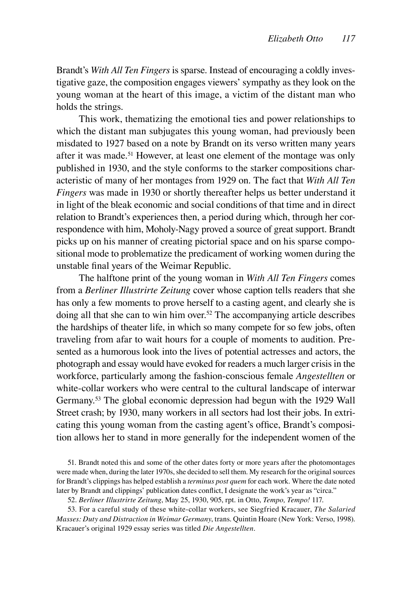Brandt's *With All Ten Fingers* is sparse. Instead of encouraging a coldly investigative gaze, the composition engages viewers' sympathy as they look on the young woman at the heart of this image, a victim of the distant man who holds the strings.

This work, thematizing the emotional ties and power relationships to which the distant man subjugates this young woman, had previously been misdated to 1927 based on a note by Brandt on its verso written many years after it was made.<sup>51</sup> However, at least one element of the montage was only published in 1930, and the style conforms to the starker compositions characteristic of many of her montages from 1929 on. The fact that *With All Ten Fingers* was made in 1930 or shortly thereafter helps us better understand it in light of the bleak economic and social conditions of that time and in direct relation to Brandt's experiences then, a period during which, through her correspondence with him, Moholy-Nagy proved a source of great support. Brandt picks up on his manner of creating pictorial space and on his sparse compositional mode to problematize the predicament of working women during the unstable final years of the Weimar Republic.

The halftone print of the young woman in *With All Ten Fingers* comes from a *Berliner Illustrirte Zeitung* cover whose caption tells readers that she has only a few moments to prove herself to a casting agent, and clearly she is doing all that she can to win him over.52 The accompanying article describes the hardships of theater life, in which so many compete for so few jobs, often traveling from afar to wait hours for a couple of moments to audition. Presented as a humorous look into the lives of potential actresses and actors, the photograph and essay would have evoked for readers a much larger crisis in the workforce, particularly among the fashion-conscious female *Angestellten* or white-collar workers who were central to the cultural landscape of interwar Germany.53 The global economic depression had begun with the 1929 Wall Street crash; by 1930, many workers in all sectors had lost their jobs. In extricating this young woman from the casting agent's office, Brandt's composition allows her to stand in more generally for the independent women of the

51. Brandt noted this and some of the other dates forty or more years after the photomontages were made when, during the later 1970s, she decided to sell them. My research for the original sources for Brandt's clippings has helped establish a *terminus post quem* for each work. Where the date noted later by Brandt and clippings' publication dates conflict, I designate the work's year as "circa."

52. *Berliner Illustrirte Zeitung*, May 25, 1930, 905, rpt. in Otto, *Tempo, Tempo!* 117.

53. For a careful study of these white-collar workers, see Siegfried Kracauer, *The Salaried Masses: Duty and Distraction in Weimar Germany*, trans. Quintin Hoare (New York: Verso, 1998). Kracauer's original 1929 essay series was titled *Die Angestellten*.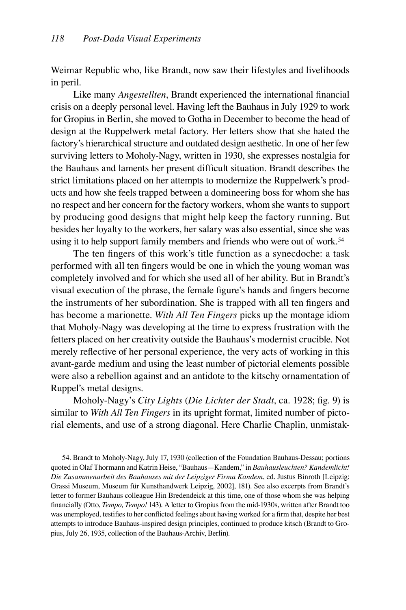Weimar Republic who, like Brandt, now saw their lifestyles and livelihoods in peril.

Like many *Angestellten*, Brandt experienced the international financial crisis on a deeply personal level. Having left the Bauhaus in July 1929 to work for Gropius in Berlin, she moved to Gotha in December to become the head of design at the Ruppelwerk metal factory. Her letters show that she hated the factory's hierarchical structure and outdated design aesthetic. In one of her few surviving letters to Moholy-Nagy, written in 1930, she expresses nostalgia for the Bauhaus and laments her present difficult situation. Brandt describes the strict limitations placed on her attempts to modernize the Ruppelwerk's products and how she feels trapped between a domineering boss for whom she has no respect and her concern for the factory workers, whom she wants to support by producing good designs that might help keep the factory running. But besides her loyalty to the workers, her salary was also essential, since she was using it to help support family members and friends who were out of work.<sup>54</sup>

The ten fingers of this work's title function as a synecdoche: a task performed with all ten fingers would be one in which the young woman was completely involved and for which she used all of her ability. But in Brandt's visual execution of the phrase, the female figure's hands and fingers become the instruments of her subordination. She is trapped with all ten fingers and has become a marionette. *With All Ten Fingers* picks up the montage idiom that Moholy-Nagy was developing at the time to express frustration with the fetters placed on her creativity outside the Bauhaus's modernist crucible. Not merely reflective of her personal experience, the very acts of working in this avant-garde medium and using the least number of pictorial elements possible were also a rebellion against and an antidote to the kitschy ornamentation of Ruppel's metal designs.

Moholy-Nagy's *City Lights* (*Die Lichter der Stadt*, ca. 1928; fig. 9) is similar to *With All Ten Fingers* in its upright format, limited number of pictorial elements, and use of a strong diagonal. Here Charlie Chaplin, unmistak-

54. Brandt to Moholy-Nagy, July 17, 1930 (collection of the Foundation Bauhaus-Dessau; portions quoted in Olaf Thormann and Katrin Heise, "Bauhaus—Kandem," in *Bauhausleuchten? Kandemlicht! Die Zusammenarbeit des Bauhauses mit der Leipziger Firma Kandem*, ed. Justus Binroth [Leipzig: Grassi Museum, Museum für Kunsthandwerk Leipzig, 2002], 181). See also excerpts from Brandt's letter to former Bauhaus colleague Hin Bredendeick at this time, one of those whom she was helping financially (Otto, *Tempo, Tempo!* 143). A letter to Gropius from the mid-1930s, written after Brandt too was unemployed, testifies to her conflicted feelings about having worked for a firm that, despite her best attempts to introduce Bauhaus-inspired design principles, continued to produce kitsch (Brandt to Gropius, July 26, 1935, collection of the Bauhaus-Archiv, Berlin).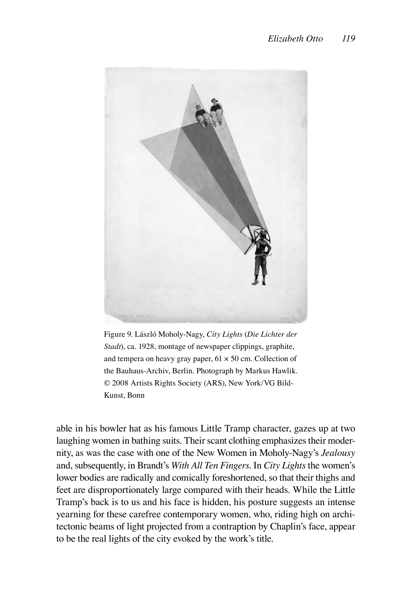

Figure 9. László Moholy-Nagy, *City Lights* (*Die Lichter der Stadt*), ca. 1928, montage of newspaper clippings, graphite, and tempera on heavy gray paper,  $61 \times 50$  cm. Collection of the Bauhaus-Archiv, Berlin. Photograph by Markus Hawlik. © 2008 Artists Rights Society (ARS), New York/VG Bild-Kunst, Bonn

able in his bowler hat as his famous Little Tramp character, gazes up at two laughing women in bathing suits. Their scant clothing emphasizes their modernity, as was the case with one of the New Women in Moholy-Nagy's *Jealousy* and, subsequently, in Brandt's *With All Ten Fingers*. In *City Lights* the women's lower bodies are radically and comically foreshortened, so that their thighs and feet are disproportionately large compared with their heads. While the Little Tramp's back is to us and his face is hidden, his posture suggests an intense yearning for these carefree contemporary women, who, riding high on architectonic beams of light projected from a contraption by Chaplin's face, appear to be the real lights of the city evoked by the work's title.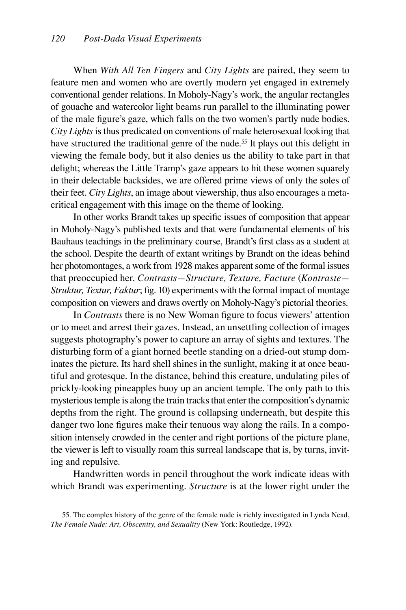When *With All Ten Fingers* and *City Lights* are paired, they seem to feature men and women who are overtly modern yet engaged in extremely conventional gender relations. In Moholy-Nagy's work, the angular rectangles of gouache and watercolor light beams run parallel to the illuminating power of the male figure's gaze, which falls on the two women's partly nude bodies. *City Lights* is thus predicated on conventions of male heterosexual looking that have structured the traditional genre of the nude.<sup>55</sup> It plays out this delight in viewing the female body, but it also denies us the ability to take part in that delight; whereas the Little Tramp's gaze appears to hit these women squarely in their delectable backsides, we are offered prime views of only the soles of their feet. *City Lights*, an image about viewership, thus also encourages a metacritical engagement with this image on the theme of looking.

In other works Brandt takes up specific issues of composition that appear in Moholy-Nagy's published texts and that were fundamental elements of his Bauhaus teachings in the preliminary course, Brandt's first class as a student at the school. Despite the dearth of extant writings by Brandt on the ideas behind her photomontages, a work from 1928 makes apparent some of the formal issues that preoccupied her. *Contrasts—Structure, Texture, Facture* (*Kontraste— Struktur, Textur, Faktur; fig. 10) experiments with the formal impact of montage* composition on viewers and draws overtly on Moholy-Nagy's pictorial theories.

In *Contrasts* there is no New Woman figure to focus viewers' attention or to meet and arrest their gazes. Instead, an unsettling collection of images suggests photography's power to capture an array of sights and textures. The disturbing form of a giant horned beetle standing on a dried-out stump dominates the picture. Its hard shell shines in the sunlight, making it at once beautiful and grotesque. In the distance, behind this creature, undulating piles of prickly-looking pineapples buoy up an ancient temple. The only path to this mysterious temple is along the train tracks that enter the composition's dynamic depths from the right. The ground is collapsing underneath, but despite this danger two lone figures make their tenuous way along the rails. In a composition intensely crowded in the center and right portions of the picture plane, the viewer is left to visually roam this surreal landscape that is, by turns, inviting and repulsive.

Handwritten words in pencil throughout the work indicate ideas with which Brandt was experimenting. *Structure* is at the lower right under the

55. The complex history of the genre of the female nude is richly investigated in Lynda Nead, *The Female Nude: Art, Obscenity, and Sexuality* (New York: Routledge, 1992).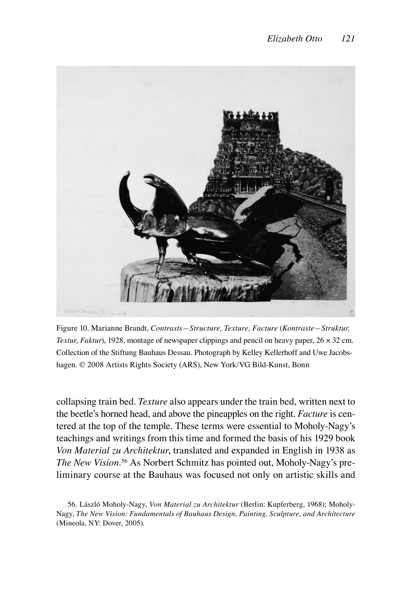

Figure 10. Marianne Brandt, *Contrasts—Structure, Texture, Facture* (*Kontraste—Struktur, Textur, Faktur*), 1928, montage of newspaper clippings and pencil on heavy paper, 26 × 32 cm. Collection of the Stiftung Bauhaus Dessau. Photograph by Kelley Kellerhoff and Uwe Jacobshagen. © 2008 Artists Rights Society (ARS), New York/VG Bild-Kunst, Bonn

collapsing train bed. *Texture* also appears under the train bed, written next to the beetle's horned head, and above the pineapples on the right. *Facture* is centered at the top of the temple. These terms were essential to Moholy-Nagy's teachings and writings from this time and formed the basis of his 1929 book *Von Material zu Architektur*, translated and expanded in English in 1938 as *The New Vision*. 56 As Norbert Schmitz has pointed out, Moholy-Nagy's preliminary course at the Bauhaus was focused not only on artistic skills and

56. László Moholy-Nagy, *Von Material zu Architektur* (Berlin: Kupferberg, 1968); Moholy-Nagy, *The New Vision: Fundamentals of Bauhaus Design, Painting, Sculpture, and Architecture* (Mineola, NY: Dover, 2005).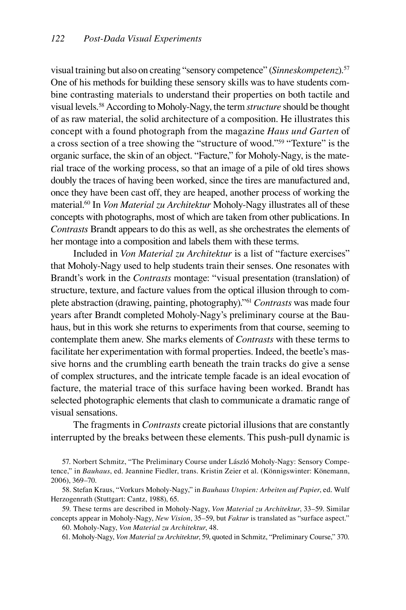visual training but also on creating "sensory competence" (*Sinneskompetenz*).57 One of his methods for building these sensory skills was to have students combine contrasting materials to understand their properties on both tactile and visual levels.58 According to Moholy-Nagy, the term *structure* should be thought of as raw material, the solid architecture of a composition. He illustrates this concept with a found photograph from the magazine *Haus und Garten* of a cross section of a tree showing the "structure of wood."59 "Texture" is the organic surface, the skin of an object. "Facture," for Moholy-Nagy, is the material trace of the working process, so that an image of a pile of old tires shows doubly the traces of having been worked, since the tires are manufactured and, once they have been cast off, they are heaped, another process of working the material.60 In *Von Material zu Architektur* Moholy-Nagy illustrates all of these concepts with photographs, most of which are taken from other publications. In *Contrasts* Brandt appears to do this as well, as she orchestrates the elements of her montage into a composition and labels them with these terms.

Included in *Von Material zu Architektur* is a list of "facture exercises" that Moholy-Nagy used to help students train their senses. One resonates with Brandt's work in the *Contrasts* montage: "visual presentation (translation) of structure, texture, and facture values from the optical illusion through to complete abstraction (drawing, painting, photography)."61 *Contrasts* was made four years after Brandt completed Moholy-Nagy's preliminary course at the Bauhaus, but in this work she returns to experiments from that course, seeming to contemplate them anew. She marks elements of *Contrasts* with these terms to facilitate her experimentation with formal properties. Indeed, the beetle's massive horns and the crumbling earth beneath the train tracks do give a sense of complex structures, and the intricate temple facade is an ideal evocation of facture, the material trace of this surface having been worked. Brandt has selected photographic elements that clash to communicate a dramatic range of visual sensations.

The fragments in *Contrasts* create pictorial illusions that are constantly interrupted by the breaks between these elements. This push-pull dynamic is

60. Moholy-Nagy, *Von Material zu Architektur*, 48.

61. Moholy-Nagy, *Von Material zu Architektur*, 59, quoted in Schmitz, "Preliminary Course," 370.

<sup>57.</sup> Norbert Schmitz, "The Preliminary Course under László Moholy-Nagy: Sensory Competence," in *Bauhaus*, ed. Jeannine Fiedler, trans. Kristin Zeier et al. (Könnigswinter: Könemann, 2006), 369–70.

<sup>58.</sup> Stefan Kraus, "Vorkurs Moholy-Nagy," in *Bauhaus Utopien: Arbeiten auf Papier*, ed. Wulf Herzogenrath (Stuttgart: Cantz, 1988), 65.

<sup>59.</sup> These terms are described in Moholy-Nagy, *Von Material zu Architektur*, 33–59. Similar concepts appear in Moholy-Nagy, *New Vision*, 35–59, but *Faktur* is translated as "surface aspect."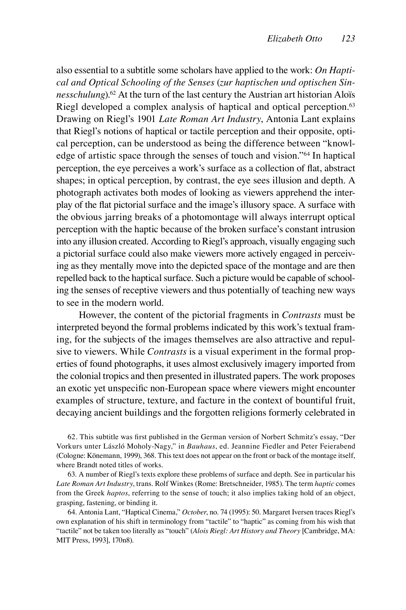also essential to a subtitle some scholars have applied to the work: *On Haptical and Optical Schooling of the Senses* (*zur haptischen und optischen Sinnesschulung*).62 At the turn of the last century the Austrian art historian Aloïs Riegl developed a complex analysis of haptical and optical perception.<sup>63</sup> Drawing on Riegl's 1901 *Late Roman Art Industry*, Antonia Lant explains that Riegl's notions of haptical or tactile perception and their opposite, optical perception, can be understood as being the difference between "knowledge of artistic space through the senses of touch and vision."64 In haptical perception, the eye perceives a work's surface as a collection of flat, abstract shapes; in optical perception, by contrast, the eye sees illusion and depth. A photograph activates both modes of looking as viewers apprehend the interplay of the flat pictorial surface and the image's illusory space. A surface with the obvious jarring breaks of a photomontage will always interrupt optical perception with the haptic because of the broken surface's constant intrusion into any illusion created. According to Riegl's approach, visually engaging such a pictorial surface could also make viewers more actively engaged in perceiving as they mentally move into the depicted space of the montage and are then repelled back to the haptical surface. Such a picture would be capable of schooling the senses of receptive viewers and thus potentially of teaching new ways to see in the modern world.

However, the content of the pictorial fragments in *Contrasts* must be interpreted beyond the formal problems indicated by this work's textual framing, for the subjects of the images themselves are also attractive and repulsive to viewers. While *Contrasts* is a visual experiment in the formal properties of found photographs, it uses almost exclusively imagery imported from the colonial tropics and then presented in illustrated papers. The work proposes an exotic yet unspecific non-European space where viewers might encounter examples of structure, texture, and facture in the context of bountiful fruit, decaying ancient buildings and the forgotten religions formerly celebrated in

62. This subtitle was first published in the German version of Norbert Schmitz's essay, "Der Vorkurs unter László Moholy-Nagy," in *Bauhaus*, ed. Jeannine Fiedler and Peter Feierabend (Cologne: Könemann, 1999), 368. This text does not appear on the front or back of the montage itself, where Brandt noted titles of works.

63. A number of Riegl's texts explore these problems of surface and depth. See in particular his *Late Roman Art Industry*, trans. Rolf Winkes (Rome: Bretschneider, 1985). The term *haptic* comes from the Greek *haptos*, referring to the sense of touch; it also implies taking hold of an object, grasping, fastening, or binding it.

64. Antonia Lant, "Haptical Cinema," *October*, no. 74 (1995): 50. Margaret Iversen traces Riegl's own explanation of his shift in terminology from "tactile" to "haptic" as coming from his wish that "tactile" not be taken too literally as "touch" (*Alois Riegl: Art History and Theory* [Cambridge, MA: MIT Press, 1993], 170n8).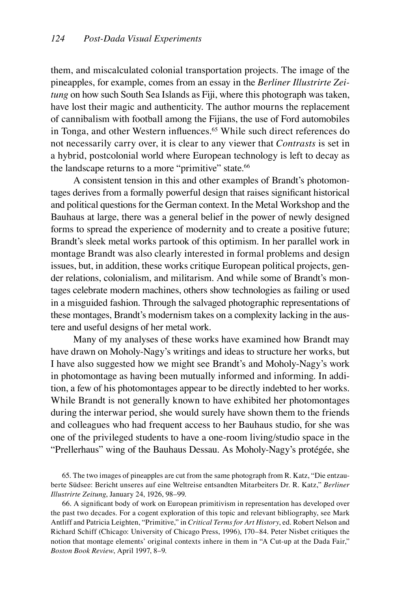them, and miscalculated colonial transportation projects. The image of the pineapples, for example, comes from an essay in the *Berliner Illustrirte Zeitung* on how such South Sea Islands as Fiji, where this photograph was taken, have lost their magic and authenticity. The author mourns the replacement of cannibalism with football among the Fijians, the use of Ford automobiles in Tonga, and other Western influences.<sup>65</sup> While such direct references do not necessarily carry over, it is clear to any viewer that *Contrasts* is set in a hybrid, postcolonial world where European technology is left to decay as the landscape returns to a more "primitive" state.<sup>66</sup>

A consistent tension in this and other examples of Brandt's photomontages derives from a formally powerful design that raises significant historical and political questions for the German context. In the Metal Workshop and the Bauhaus at large, there was a general belief in the power of newly designed forms to spread the experience of modernity and to create a positive future; Brandt's sleek metal works partook of this optimism. In her parallel work in montage Brandt was also clearly interested in formal problems and design issues, but, in addition, these works critique European political projects, gender relations, colonialism, and militarism. And while some of Brandt's montages celebrate modern machines, others show technologies as failing or used in a misguided fashion. Through the salvaged photographic representations of these montages, Brandt's modernism takes on a complexity lacking in the austere and useful designs of her metal work.

Many of my analyses of these works have examined how Brandt may have drawn on Moholy-Nagy's writings and ideas to structure her works, but I have also suggested how we might see Brandt's and Moholy-Nagy's work in photomontage as having been mutually informed and informing. In addition, a few of his photomontages appear to be directly indebted to her works. While Brandt is not generally known to have exhibited her photomontages during the interwar period, she would surely have shown them to the friends and colleagues who had frequent access to her Bauhaus studio, for she was one of the privileged students to have a one-room living/studio space in the "Prellerhaus" wing of the Bauhaus Dessau. As Moholy-Nagy's protégée, she

65. The two images of pineapples are cut from the same photograph from R. Katz, "Die entzauberte Südsee: Bericht unseres auf eine Weltreise entsandten Mitarbeiters Dr. R. Katz," *Berliner Illustrirte Zeitung*, January 24, 1926, 98–99.

66. A significant body of work on European primitivism in representation has developed over the past two decades. For a cogent exploration of this topic and relevant bibliography, see Mark Antliff and Patricia Leighten, "Primitive," in *Critical Terms for Art History*, ed. Robert Nelson and Richard Schiff (Chicago: University of Chicago Press, 1996), 170–84. Peter Nisbet critiques the notion that montage elements' original contexts inhere in them in "A Cut-up at the Dada Fair," *Boston Book Review*, April 1997, 8–9.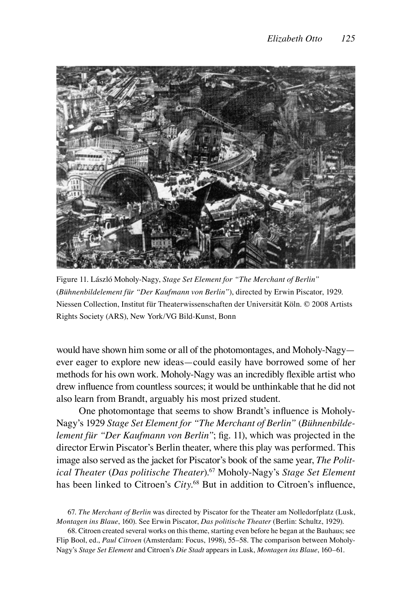

Figure 11. László Moholy-Nagy, *Stage Set Element for "The Merchant of Berlin"* (*Bühnenbildelement für "Der Kaufmann von Berlin"*), directed by Erwin Piscator, 1929. Niessen Collection, Institut für Theaterwissenschaften der Universität Köln. © 2008 Artists Rights Society (ARS), New York/VG Bild-Kunst, Bonn

would have shown him some or all of the photomontages, and Moholy-Nagy ever eager to explore new ideas—could easily have borrowed some of her methods for his own work. Moholy-Nagy was an incredibly flexible artist who drew influence from countless sources; it would be unthinkable that he did not also learn from Brandt, arguably his most prized student.

One photomontage that seems to show Brandt's influence is Moholy-Nagy's 1929 *Stage Set Element for "The Merchant of Berlin"* (*Bühnenbildelement für "Der Kaufmann von Berlin"*; fig. 11), which was projected in the director Erwin Piscator's Berlin theater, where this play was performed. This image also served as the jacket for Piscator's book of the same year, *The Political Theater* (*Das politische Theater*).67 Moholy-Nagy's *Stage Set Element* has been linked to Citroen's *City*.<sup>68</sup> But in addition to Citroen's influence,

<sup>67.</sup> *The Merchant of Berlin* was directed by Piscator for the Theater am Nolledorfplatz (Lusk, *Montagen ins Blaue*, 160). See Erwin Piscator, *Das politische Theater* (Berlin: Schultz, 1929).

<sup>68.</sup> Citroen created several works on this theme, starting even before he began at the Bauhaus; see Flip Bool, ed., *Paul Citroen* (Amsterdam: Focus, 1998), 55–58. The comparison between Moholy-Nagy's *Stage Set Element* and Citroen's *Die Stadt* appears in Lusk, *Montagen ins Blaue*, 160–61.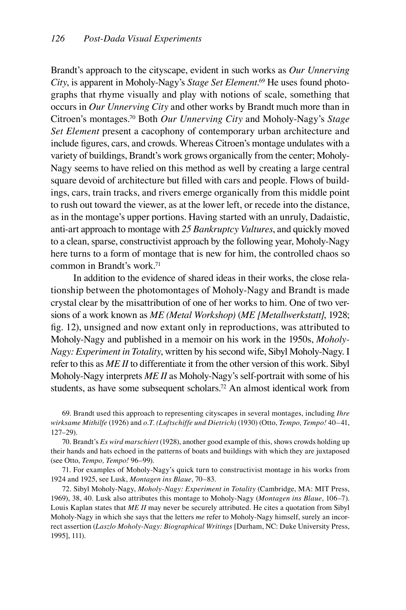Brandt's approach to the cityscape, evident in such works as *Our Unnerving City*, is apparent in Moholy-Nagy's *Stage Set Element*. 69 He uses found photographs that rhyme visually and play with notions of scale, something that occurs in *Our Unnerving City* and other works by Brandt much more than in Citroen's montages.70 Both *Our Unnerving City* and Moholy-Nagy's *Stage Set Element* present a cacophony of contemporary urban architecture and include figures, cars, and crowds. Whereas Citroen's montage undulates with a variety of buildings, Brandt's work grows organically from the center; Moholy-Nagy seems to have relied on this method as well by creating a large central square devoid of architecture but filled with cars and people. Flows of buildings, cars, train tracks, and rivers emerge organically from this middle point to rush out toward the viewer, as at the lower left, or recede into the distance, as in the montage's upper portions. Having started with an unruly, Dadaistic, anti-art approach to montage with *25 Bankruptcy Vultures*, and quickly moved to a clean, sparse, constructivist approach by the following year, Moholy-Nagy here turns to a form of montage that is new for him, the controlled chaos so common in Brandt's work.71

In addition to the evidence of shared ideas in their works, the close relationship between the photomontages of Moholy-Nagy and Brandt is made crystal clear by the misattribution of one of her works to him. One of two versions of a work known as *ME (Metal Workshop)* (*ME [Metallwerkstatt]*, 1928; fig. 12), unsigned and now extant only in reproductions, was attributed to Moholy-Nagy and published in a memoir on his work in the 1950s, *Moholy-Nagy: Experiment in Totality*, written by his second wife, Sibyl Moholy-Nagy. I refer to this as *ME II* to differentiate it from the other version of this work. Sibyl Moholy-Nagy interprets *ME II* as Moholy-Nagy's self-portrait with some of his students, as have some subsequent scholars.72 An almost identical work from

69. Brandt used this approach to representing cityscapes in several montages, including *Ihre wirksame Mithilfe* (1926) and *o.T. (Luftschiffe und Dietrich)* (1930) (Otto, *Tempo, Tempo!* 40–41, 127–29).

70. Brandt's *Es wird marschiert* (1928), another good example of this, shows crowds holding up their hands and hats echoed in the patterns of boats and buildings with which they are juxtaposed (see Otto, *Tempo, Tempo!* 96–99).

71. For examples of Moholy-Nagy's quick turn to constructivist montage in his works from 1924 and 1925, see Lusk, *Montagen ins Blaue*, 70–83.

72. Sibyl Moholy-Nagy, *Moholy-Nagy: Experiment in Totality* (Cambridge, MA: MIT Press, 1969), 38, 40. Lusk also attributes this montage to Moholy-Nagy (*Montagen ins Blaue*, 106–7). Louis Kaplan states that *ME II* may never be securely attributed. He cites a quotation from Sibyl Moholy-Nagy in which she says that the letters *me* refer to Moholy-Nagy himself, surely an incorrect assertion (*Laszlo Moholy-Nagy: Biographical Writings* [Durham, NC: Duke University Press, 1995], 111).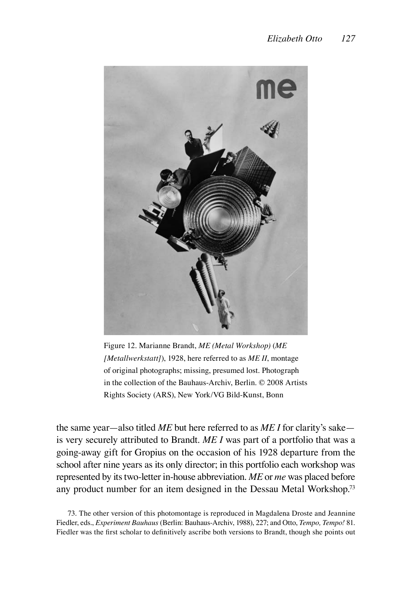

Figure 12. Marianne Brandt, *ME (Metal Workshop)* (*ME [Metallwerkstatt]*), 1928, here referred to as *ME II*, montage of original photographs; missing, presumed lost. Photograph in the collection of the Bauhaus-Archiv, Berlin. © 2008 Artists Rights Society (ARS), New York/VG Bild-Kunst, Bonn

the same year—also titled *ME* but here referred to as *ME I* for clarity's sake is very securely attributed to Brandt. *ME I* was part of a portfolio that was a going-away gift for Gropius on the occasion of his 1928 departure from the school after nine years as its only director; in this portfolio each workshop was represented by its two-letter in-house abbreviation. *ME* or *me* was placed before any product number for an item designed in the Dessau Metal Workshop.73

73. The other version of this photomontage is reproduced in Magdalena Droste and Jeannine Fiedler, eds., *Experiment Bauhaus* (Berlin: Bauhaus-Archiv, 1988), 227; and Otto, *Tempo, Tempo!* 81. Fiedler was the first scholar to definitively ascribe both versions to Brandt, though she points out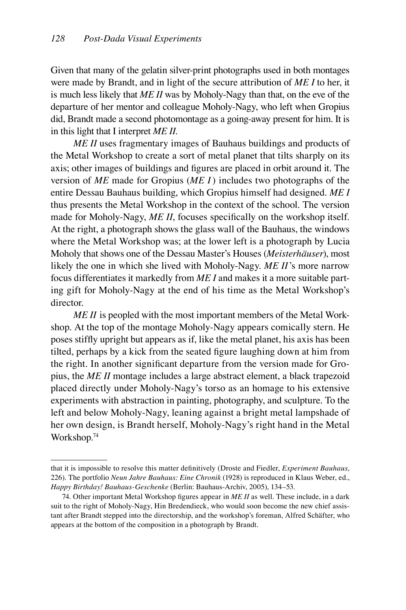Given that many of the gelatin silver-print photographs used in both montages were made by Brandt, and in light of the secure attribution of *ME I* to her, it is much less likely that *ME II* was by Moholy-Nagy than that, on the eve of the departure of her mentor and colleague Moholy-Nagy, who left when Gropius did, Brandt made a second photomontage as a going-away present for him. It is in this light that I interpret *ME II*.

*ME II* uses fragmentary images of Bauhaus buildings and products of the Metal Workshop to create a sort of metal planet that tilts sharply on its axis; other images of buildings and figures are placed in orbit around it. The version of *ME* made for Gropius (*ME I*) includes two photographs of the entire Dessau Bauhaus building, which Gropius himself had designed. *ME I* thus presents the Metal Workshop in the context of the school. The version made for Moholy-Nagy, *ME II*, focuses specifically on the workshop itself. At the right, a photograph shows the glass wall of the Bauhaus, the windows where the Metal Workshop was; at the lower left is a photograph by Lucia Moholy that shows one of the Dessau Master's Houses (*Meisterhäuser*), most likely the one in which she lived with Moholy-Nagy. *ME II*'s more narrow focus differentiates it markedly from *ME I* and makes it a more suitable parting gift for Moholy-Nagy at the end of his time as the Metal Workshop's director.

*ME II* is peopled with the most important members of the Metal Workshop. At the top of the montage Moholy-Nagy appears comically stern. He poses stiffly upright but appears as if, like the metal planet, his axis has been tilted, perhaps by a kick from the seated figure laughing down at him from the right. In another significant departure from the version made for Gropius, the *ME II* montage includes a large abstract element, a black trapezoid placed directly under Moholy-Nagy's torso as an homage to his extensive experiments with abstraction in painting, photography, and sculpture. To the left and below Moholy-Nagy, leaning against a bright metal lampshade of her own design, is Brandt herself, Moholy-Nagy's right hand in the Metal Workshop.<sup>74</sup>

that it is impossible to resolve this matter definitively (Droste and Fiedler, *Experiment Bauhaus*, 226). The portfolio *Neun Jahre Bauhaus: Eine Chronik* (1928) is reproduced in Klaus Weber, ed., *Happy Birthday! Bauhaus-Geschenke* (Berlin: Bauhaus-Archiv, 2005), 134–53.

<sup>74.</sup> Other important Metal Workshop figures appear in ME II as well. These include, in a dark suit to the right of Moholy-Nagy, Hin Bredendieck, who would soon become the new chief assistant after Brandt stepped into the directorship, and the workshop's foreman, Alfred Schäfter, who appears at the bottom of the composition in a photograph by Brandt.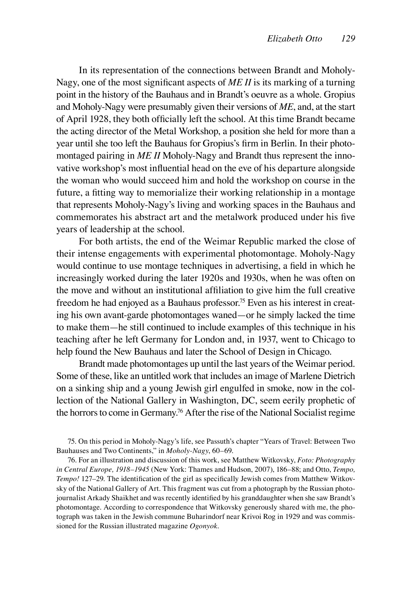In its representation of the connections between Brandt and Moholy-Nagy, one of the most significant aspects of ME II is its marking of a turning point in the history of the Bauhaus and in Brandt's oeuvre as a whole. Gropius and Moholy-Nagy were presumably given their versions of *ME*, and, at the start of April 1928, they both officially left the school. At this time Brandt became the acting director of the Metal Workshop, a position she held for more than a year until she too left the Bauhaus for Gropius's firm in Berlin. In their photomontaged pairing in *ME II* Moholy-Nagy and Brandt thus represent the innovative workshop's most influential head on the eve of his departure alongside the woman who would succeed him and hold the workshop on course in the future, a fitting way to memorialize their working relationship in a montage that represents Moholy-Nagy's living and working spaces in the Bauhaus and commemorates his abstract art and the metalwork produced under his five years of leadership at the school.

For both artists, the end of the Weimar Republic marked the close of their intense engagements with experimental photomontage. Moholy-Nagy would continue to use montage techniques in advertising, a field in which he increasingly worked during the later 1920s and 1930s, when he was often on the move and without an institutional affiliation to give him the full creative freedom he had enjoyed as a Bauhaus professor.75 Even as his interest in creating his own avant-garde photomontages waned—or he simply lacked the time to make them—he still continued to include examples of this technique in his teaching after he left Germany for London and, in 1937, went to Chicago to help found the New Bauhaus and later the School of Design in Chicago.

Brandt made photomontages up until the last years of the Weimar period. Some of these, like an untitled work that includes an image of Marlene Dietrich on a sinking ship and a young Jewish girl engulfed in smoke, now in the collection of the National Gallery in Washington, DC, seem eerily prophetic of the horrors to come in Germany.76 After the rise of the National Socialist regime

75. On this period in Moholy-Nagy's life, see Passuth's chapter "Years of Travel: Between Two Bauhauses and Two Continents," in *Moholy-Nagy*, 60–69.

76. For an illustration and discussion of this work, see Matthew Witkovsky, *Foto: Photography in Central Europe, 1918–1945* (New York: Thames and Hudson, 2007), 186–88; and Otto, *Tempo, Tempo!* 127-29. The identification of the girl as specifically Jewish comes from Matthew Witkovsky of the National Gallery of Art. This fragment was cut from a photograph by the Russian photojournalist Arkady Shaikhet and was recently identified by his granddaughter when she saw Brandt's photomontage. According to correspondence that Witkovsky generously shared with me, the photograph was taken in the Jewish commune Buharindorf near Krivoi Rog in 1929 and was commissioned for the Russian illustrated magazine *Ogonyok*.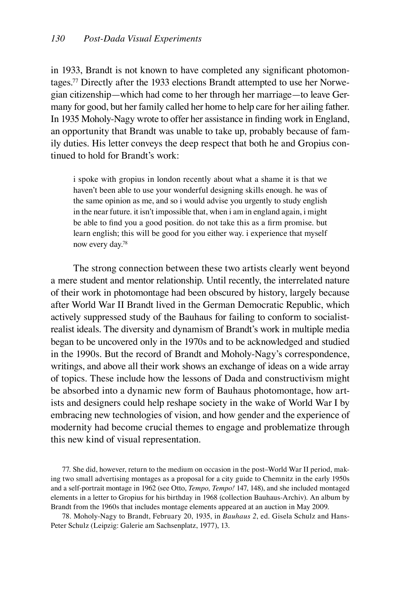in 1933, Brandt is not known to have completed any significant photomontages.77 Directly after the 1933 elections Brandt attempted to use her Norwegian citizenship—which had come to her through her marriage—to leave Germany for good, but her family called her home to help care for her ailing father. In 1935 Moholy-Nagy wrote to offer her assistance in finding work in England, an opportunity that Brandt was unable to take up, probably because of family duties. His letter conveys the deep respect that both he and Gropius continued to hold for Brandt's work:

i spoke with gropius in london recently about what a shame it is that we haven't been able to use your wonderful designing skills enough. he was of the same opinion as me, and so i would advise you urgently to study english in the near future. it isn't impossible that, when i am in england again, i might be able to find you a good position. do not take this as a firm promise. but learn english; this will be good for you either way. i experience that myself now every day.78

The strong connection between these two artists clearly went beyond a mere student and mentor relationship. Until recently, the interrelated nature of their work in photomontage had been obscured by history, largely because after World War II Brandt lived in the German Democratic Republic, which actively suppressed study of the Bauhaus for failing to conform to socialistrealist ideals. The diversity and dynamism of Brandt's work in multiple media began to be uncovered only in the 1970s and to be acknowledged and studied in the 1990s. But the record of Brandt and Moholy-Nagy's correspondence, writings, and above all their work shows an exchange of ideas on a wide array of topics. These include how the lessons of Dada and constructivism might be absorbed into a dynamic new form of Bauhaus photomontage, how artists and designers could help reshape society in the wake of World War I by embracing new technologies of vision, and how gender and the experience of modernity had become crucial themes to engage and problematize through this new kind of visual representation.

77. She did, however, return to the medium on occasion in the post–World War II period, making two small advertising montages as a proposal for a city guide to Chemnitz in the early 1950s and a self-portrait montage in 1962 (see Otto, *Tempo, Tempo!* 147, 148), and she included montaged elements in a letter to Gropius for his birthday in 1968 (collection Bauhaus-Archiv). An album by Brandt from the 1960s that includes montage elements appeared at an auction in May 2009.

78. Moholy-Nagy to Brandt, February 20, 1935, in *Bauhaus 2*, ed. Gisela Schulz and Hans-Peter Schulz (Leipzig: Galerie am Sachsenplatz, 1977), 13.